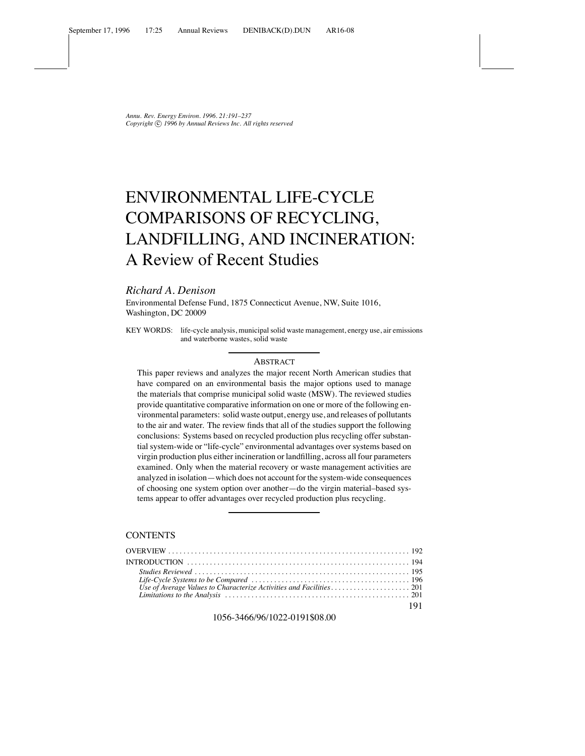# ENVIRONMENTAL LIFE-CYCLE COMPARISONS OF RECYCLING, LANDFILLING, AND INCINERATION: A Review of Recent Studies

#### *Richard A. Denison*

Environmental Defense Fund, 1875 Connecticut Avenue, NW, Suite 1016, Washington, DC 20009

KEY WORDS: life-cycle analysis, municipal solid waste management, energy use, air emissions and waterborne wastes, solid waste

#### **ABSTRACT**

This paper reviews and analyzes the major recent North American studies that have compared on an environmental basis the major options used to manage the materials that comprise municipal solid waste (MSW). The reviewed studies provide quantitative comparative information on one or more of the following environmental parameters: solid waste output, energy use, and releases of pollutants to the air and water. The review finds that all of the studies support the following conclusions: Systems based on recycled production plus recycling offer substantial system-wide or "life-cycle" environmental advantages over systems based on virgin production plus either incineration or landfilling, across all four parameters examined. Only when the material recovery or waste management activities are analyzed in isolation—which does not account for the system-wide consequences of choosing one system option over another—do the virgin material–based systems appear to offer advantages over recycled production plus recycling.

#### **CONTENTS**

| Limitations to the Analysis contained a contained a set of the Analysis contained a set of the Analysis contain |       |
|-----------------------------------------------------------------------------------------------------------------|-------|
|                                                                                                                 | - 191 |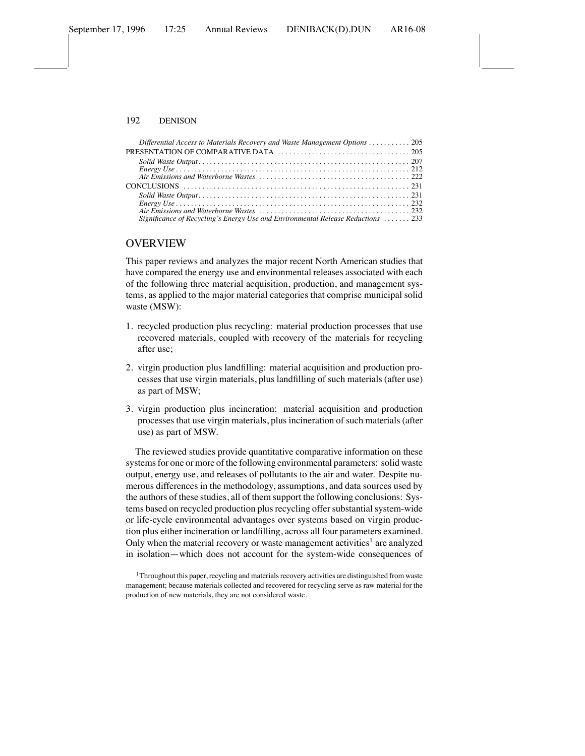| Differential Access to Materials Recovery and Waste Management Options  205      |  |  |  |
|----------------------------------------------------------------------------------|--|--|--|
|                                                                                  |  |  |  |
|                                                                                  |  |  |  |
|                                                                                  |  |  |  |
|                                                                                  |  |  |  |
|                                                                                  |  |  |  |
|                                                                                  |  |  |  |
|                                                                                  |  |  |  |
|                                                                                  |  |  |  |
| Significance of Recycling's Energy Use and Environmental Release Reductions  233 |  |  |  |

## OVERVIEW

This paper reviews and analyzes the major recent North American studies that have compared the energy use and environmental releases associated with each of the following three material acquisition, production, and management systems, as applied to the major material categories that comprise municipal solid waste (MSW):

- 1. recycled production plus recycling: material production processes that use recovered materials, coupled with recovery of the materials for recycling after use;
- 2. virgin production plus landfilling: material acquisition and production processes that use virgin materials, plus landfilling of such materials (after use) as part of MSW;
- 3. virgin production plus incineration: material acquisition and production processes that use virgin materials, plus incineration of such materials (after use) as part of MSW.

The reviewed studies provide quantitative comparative information on these systems for one or more of the following environmental parameters: solid waste output, energy use, and releases of pollutants to the air and water. Despite numerous differences in the methodology, assumptions, and data sources used by the authors of these studies, all of them support the following conclusions: Systems based on recycled production plus recycling offer substantial system-wide or life-cycle environmental advantages over systems based on virgin production plus either incineration or landfilling, across all four parameters examined. Only when the material recovery or waste management activities<sup>1</sup> are analyzed in isolation—which does not account for the system-wide consequences of

<sup>1</sup>Throughout this paper, recycling and materials recovery activities are distinguished from waste management; because materials collected and recovered for recycling serve as raw material for the production of new materials, they are not considered waste.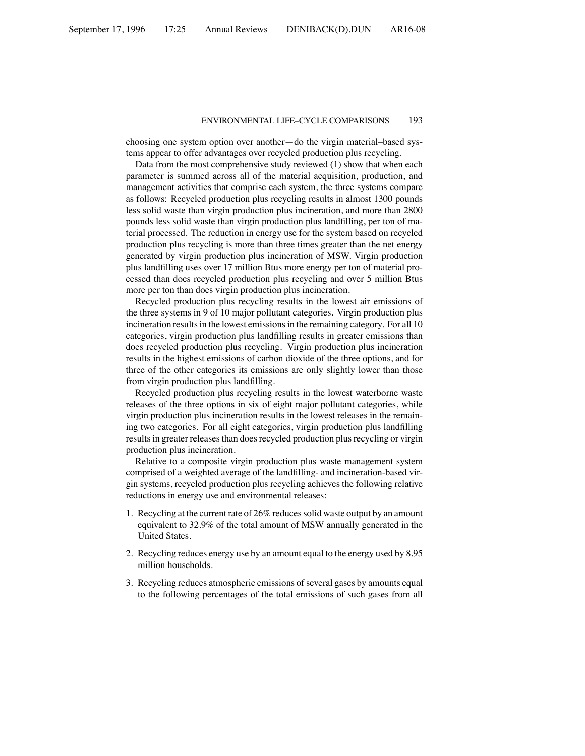choosing one system option over another—do the virgin material–based systems appear to offer advantages over recycled production plus recycling.

Data from the most comprehensive study reviewed (1) show that when each parameter is summed across all of the material acquisition, production, and management activities that comprise each system, the three systems compare as follows: Recycled production plus recycling results in almost 1300 pounds less solid waste than virgin production plus incineration, and more than 2800 pounds less solid waste than virgin production plus landfilling, per ton of material processed. The reduction in energy use for the system based on recycled production plus recycling is more than three times greater than the net energy generated by virgin production plus incineration of MSW. Virgin production plus landfilling uses over 17 million Btus more energy per ton of material processed than does recycled production plus recycling and over 5 million Btus more per ton than does virgin production plus incineration.

Recycled production plus recycling results in the lowest air emissions of the three systems in 9 of 10 major pollutant categories. Virgin production plus incineration results in the lowest emissions in the remaining category. For all 10 categories, virgin production plus landfilling results in greater emissions than does recycled production plus recycling. Virgin production plus incineration results in the highest emissions of carbon dioxide of the three options, and for three of the other categories its emissions are only slightly lower than those from virgin production plus landfilling.

Recycled production plus recycling results in the lowest waterborne waste releases of the three options in six of eight major pollutant categories, while virgin production plus incineration results in the lowest releases in the remaining two categories. For all eight categories, virgin production plus landfilling results in greater releases than does recycled production plus recycling or virgin production plus incineration.

Relative to a composite virgin production plus waste management system comprised of a weighted average of the landfilling- and incineration-based virgin systems, recycled production plus recycling achieves the following relative reductions in energy use and environmental releases:

- 1. Recycling at the current rate of 26% reduces solid waste output by an amount equivalent to 32.9% of the total amount of MSW annually generated in the United States.
- 2. Recycling reduces energy use by an amount equal to the energy used by 8.95 million households.
- 3. Recycling reduces atmospheric emissions of several gases by amounts equal to the following percentages of the total emissions of such gases from all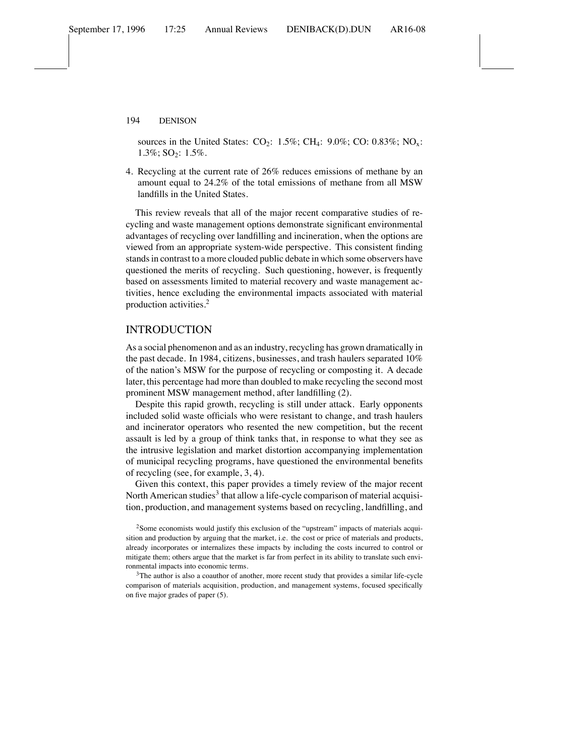sources in the United States:  $CO_2$ :  $1.5\%$ :  $CH_4$ :  $9.0\%$ :  $CO$ :  $0.83\%$ :  $NO_x$ :  $1.3\%$ ; SO<sub>2</sub>:  $1.5\%$ .

4. Recycling at the current rate of 26% reduces emissions of methane by an amount equal to 24.2% of the total emissions of methane from all MSW landfills in the United States.

This review reveals that all of the major recent comparative studies of recycling and waste management options demonstrate significant environmental advantages of recycling over landfilling and incineration, when the options are viewed from an appropriate system-wide perspective. This consistent finding stands in contrast to a more clouded public debate in which some observers have questioned the merits of recycling. Such questioning, however, is frequently based on assessments limited to material recovery and waste management activities, hence excluding the environmental impacts associated with material production activities.2

## INTRODUCTION

As a social phenomenon and as an industry, recycling has grown dramatically in the past decade. In 1984, citizens, businesses, and trash haulers separated 10% of the nation's MSW for the purpose of recycling or composting it. A decade later, this percentage had more than doubled to make recycling the second most prominent MSW management method, after landfilling (2).

Despite this rapid growth, recycling is still under attack. Early opponents included solid waste officials who were resistant to change, and trash haulers and incinerator operators who resented the new competition, but the recent assault is led by a group of think tanks that, in response to what they see as the intrusive legislation and market distortion accompanying implementation of municipal recycling programs, have questioned the environmental benefits of recycling (see, for example, 3, 4).

Given this context, this paper provides a timely review of the major recent North American studies<sup>3</sup> that allow a life-cycle comparison of material acquisition, production, and management systems based on recycling, landfilling, and

2Some economists would justify this exclusion of the "upstream" impacts of materials acquisition and production by arguing that the market, i.e. the cost or price of materials and products, already incorporates or internalizes these impacts by including the costs incurred to control or mitigate them; others argue that the market is far from perfect in its ability to translate such environmental impacts into economic terms.

3The author is also a coauthor of another, more recent study that provides a similar life-cycle comparison of materials acquisition, production, and management systems, focused specifically on five major grades of paper (5).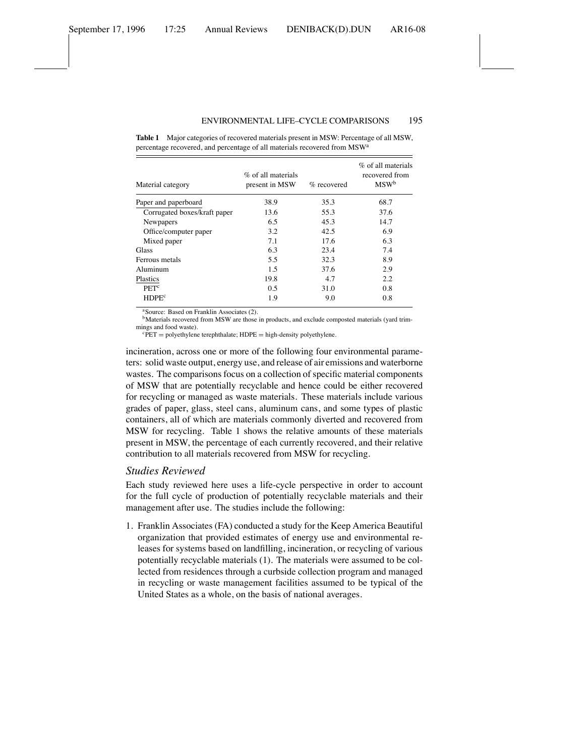| Material category            | % of all materials<br>present in MSW | $\%$ recovered | % of all materials<br>recovered from<br>MSW <sup>b</sup> |
|------------------------------|--------------------------------------|----------------|----------------------------------------------------------|
| Paper and paperboard         | 38.9                                 | 35.3           | 68.7                                                     |
| Corrugated boxes/kraft paper | 13.6                                 | 55.3           | 37.6                                                     |
| Newpapers                    | 6.5                                  | 45.3           | 14.7                                                     |
| Office/computer paper        | 3.2                                  | 42.5           | 6.9                                                      |
| Mixed paper                  | 7.1                                  | 17.6           | 6.3                                                      |
| Glass                        | 6.3                                  | 23.4           | 7.4                                                      |
| Ferrous metals               | 5.5                                  | 32.3           | 8.9                                                      |
| Aluminum                     | 1.5                                  | 37.6           | 2.9                                                      |
| Plastics                     | 19.8                                 | 4.7            | 2.2                                                      |
| <b>PET<sup>c</sup></b>       | 0.5                                  | 31.0           | 0.8                                                      |
| ${\rm HDPE^c}$               | 1.9                                  | 9.0            | 0.8                                                      |

**Table 1** Major categories of recovered materials present in MSW: Percentage of all MSW, percentage recovered, and percentage of all materials recovered from MSWa

aSource: Based on Franklin Associates (2).

<sup>b</sup>Materials recovered from MSW are those in products, and exclude composted materials (yard trimmings and food waste).  $C$ <sup>e</sup>PET = polyethylene terephthalate; HDPE = high-density polyethylene.

incineration, across one or more of the following four environmental parameters: solid waste output, energy use, and release of air emissions and waterborne wastes. The comparisons focus on a collection of specific material components of MSW that are potentially recyclable and hence could be either recovered for recycling or managed as waste materials. These materials include various grades of paper, glass, steel cans, aluminum cans, and some types of plastic containers, all of which are materials commonly diverted and recovered from MSW for recycling. Table 1 shows the relative amounts of these materials present in MSW, the percentage of each currently recovered, and their relative contribution to all materials recovered from MSW for recycling.

### *Studies Reviewed*

Each study reviewed here uses a life-cycle perspective in order to account for the full cycle of production of potentially recyclable materials and their management after use. The studies include the following:

1. Franklin Associates (FA) conducted a study for the Keep America Beautiful organization that provided estimates of energy use and environmental releases for systems based on landfilling, incineration, or recycling of various potentially recyclable materials (1). The materials were assumed to be collected from residences through a curbside collection program and managed in recycling or waste management facilities assumed to be typical of the United States as a whole, on the basis of national averages.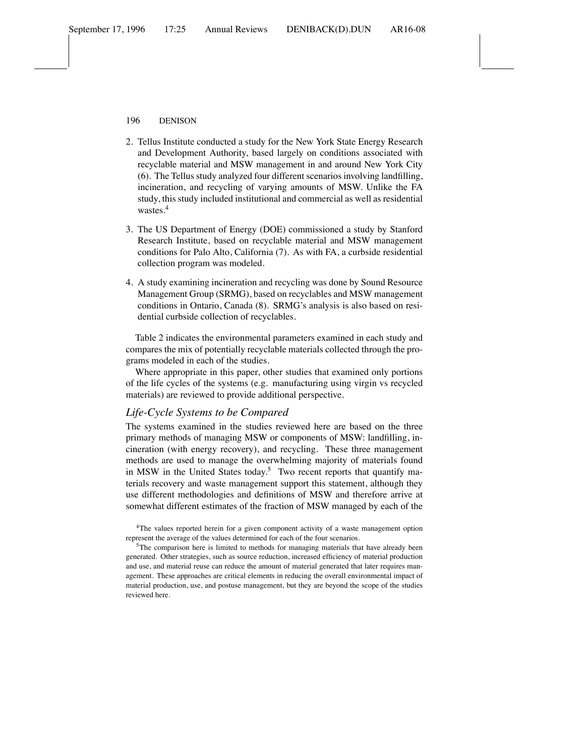- 2. Tellus Institute conducted a study for the New York State Energy Research and Development Authority, based largely on conditions associated with recyclable material and MSW management in and around New York City (6). The Tellus study analyzed four different scenarios involving landfilling, incineration, and recycling of varying amounts of MSW. Unlike the FA study, this study included institutional and commercial as well as residential wastes<sup>4</sup>
- 3. The US Department of Energy (DOE) commissioned a study by Stanford Research Institute, based on recyclable material and MSW management conditions for Palo Alto, California (7). As with FA, a curbside residential collection program was modeled.
- 4. A study examining incineration and recycling was done by Sound Resource Management Group (SRMG), based on recyclables and MSW management conditions in Ontario, Canada (8). SRMG's analysis is also based on residential curbside collection of recyclables.

Table 2 indicates the environmental parameters examined in each study and compares the mix of potentially recyclable materials collected through the programs modeled in each of the studies.

Where appropriate in this paper, other studies that examined only portions of the life cycles of the systems (e.g. manufacturing using virgin vs recycled materials) are reviewed to provide additional perspective.

## *Life-Cycle Systems to be Compared*

The systems examined in the studies reviewed here are based on the three primary methods of managing MSW or components of MSW: landfilling, incineration (with energy recovery), and recycling. These three management methods are used to manage the overwhelming majority of materials found in MSW in the United States today.<sup>5</sup> Two recent reports that quantify materials recovery and waste management support this statement, although they use different methodologies and definitions of MSW and therefore arrive at somewhat different estimates of the fraction of MSW managed by each of the

4The values reported herein for a given component activity of a waste management option represent the average of the values determined for each of the four scenarios.

<sup>5</sup>The comparison here is limited to methods for managing materials that have already been generated. Other strategies, such as source reduction, increased efficiency of material production and use, and material reuse can reduce the amount of material generated that later requires management. These approaches are critical elements in reducing the overall environmental impact of material production, use, and postuse management, but they are beyond the scope of the studies reviewed here.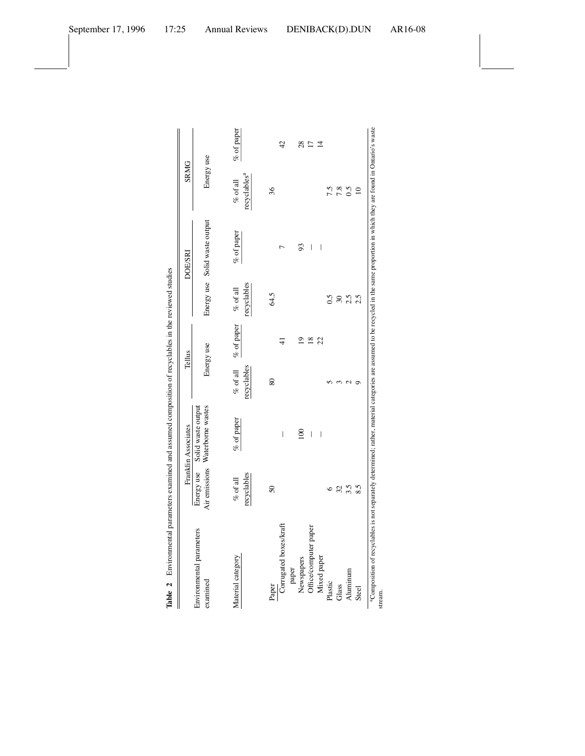|                                      |                           | Franklin Associates                                   | Tellus                     |                 |                           | DOE/SRI                       | <b>SRMG</b>                            |                 |
|--------------------------------------|---------------------------|-------------------------------------------------------|----------------------------|-----------------|---------------------------|-------------------------------|----------------------------------------|-----------------|
| Environmental parameters<br>examined | Energy use                | Air emissions Waterborne wastes<br>Solid waste output | Energy use                 |                 |                           | Energy use Solid waste output | Energy use                             |                 |
| Material category                    | recyclables<br>$%$ of all | $%$ of paper                                          | $\%$ of all<br>recyclables | $\%$ of paper   | recyclables<br>$%$ of all | $%$ of paper                  | recyclables <sup>a</sup><br>$%$ of all | $%$ of paper    |
| Paper                                | 50                        |                                                       | 80                         |                 | 64.5                      |                               | 36                                     |                 |
| Corrugated boxes/kraft               |                           | I                                                     |                            | ╤               |                           |                               |                                        | $\frac{4}{2}$   |
| paper                                |                           |                                                       |                            |                 |                           |                               |                                        |                 |
| Newspapers                           |                           | 100                                                   |                            | $\overline{0}$  |                           | 93                            |                                        | 28              |
| Office/computer paper                |                           | I                                                     |                            | $\overline{18}$ |                           | $\mid$                        |                                        | $\overline{17}$ |
| Mixed paper                          |                           | $\mid$                                                |                            | 22              |                           | $\mid$                        |                                        | $\overline{1}$  |
| Plastic                              |                           |                                                       |                            |                 | $\widetilde{\mathcal{L}}$ |                               | 7.5                                    |                 |
| Glass                                | 32                        |                                                       |                            |                 | $\mathcal{S}$             |                               | 7.8                                    |                 |
| Aluminum                             | 3.5                       |                                                       | 2                          |                 | 2.5                       |                               | 0.5                                    |                 |
| Steel                                | 8.5                       |                                                       | Ó                          |                 | 2.5                       |                               | $\overline{10}$                        |                 |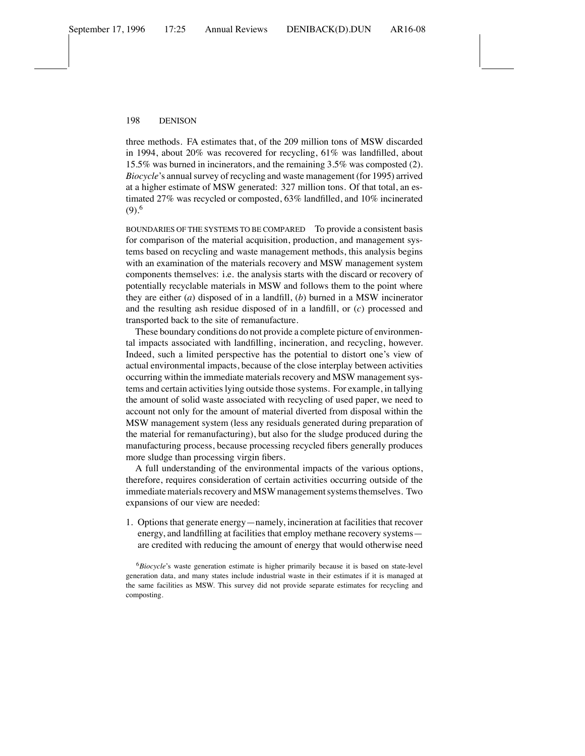three methods. FA estimates that, of the 209 million tons of MSW discarded in 1994, about 20% was recovered for recycling, 61% was landfilled, about 15.5% was burned in incinerators, and the remaining 3.5% was composted (2). *Biocycle*'s annual survey of recycling and waste management (for 1995) arrived at a higher estimate of MSW generated: 327 million tons. Of that total, an estimated 27% was recycled or composted, 63% landfilled, and 10% incinerated  $(9).^{6}$ 

BOUNDARIES OF THE SYSTEMS TO BE COMPARED To provide a consistent basis for comparison of the material acquisition, production, and management systems based on recycling and waste management methods, this analysis begins with an examination of the materials recovery and MSW management system components themselves: i.e. the analysis starts with the discard or recovery of potentially recyclable materials in MSW and follows them to the point where they are either (*a*) disposed of in a landfill, (*b*) burned in a MSW incinerator and the resulting ash residue disposed of in a landfill, or (*c*) processed and transported back to the site of remanufacture.

These boundary conditions do not provide a complete picture of environmental impacts associated with landfilling, incineration, and recycling, however. Indeed, such a limited perspective has the potential to distort one's view of actual environmental impacts, because of the close interplay between activities occurring within the immediate materials recovery and MSW management systems and certain activities lying outside those systems. For example, in tallying the amount of solid waste associated with recycling of used paper, we need to account not only for the amount of material diverted from disposal within the MSW management system (less any residuals generated during preparation of the material for remanufacturing), but also for the sludge produced during the manufacturing process, because processing recycled fibers generally produces more sludge than processing virgin fibers.

A full understanding of the environmental impacts of the various options, therefore, requires consideration of certain activities occurring outside of the immediate materials recovery andMSW management systems themselves. Two expansions of our view are needed:

1. Options that generate energy—namely, incineration at facilities that recover energy, and landfilling at facilities that employ methane recovery systems are credited with reducing the amount of energy that would otherwise need

<sup>6</sup>*Biocycle*'s waste generation estimate is higher primarily because it is based on state-level generation data, and many states include industrial waste in their estimates if it is managed at the same facilities as MSW. This survey did not provide separate estimates for recycling and composting.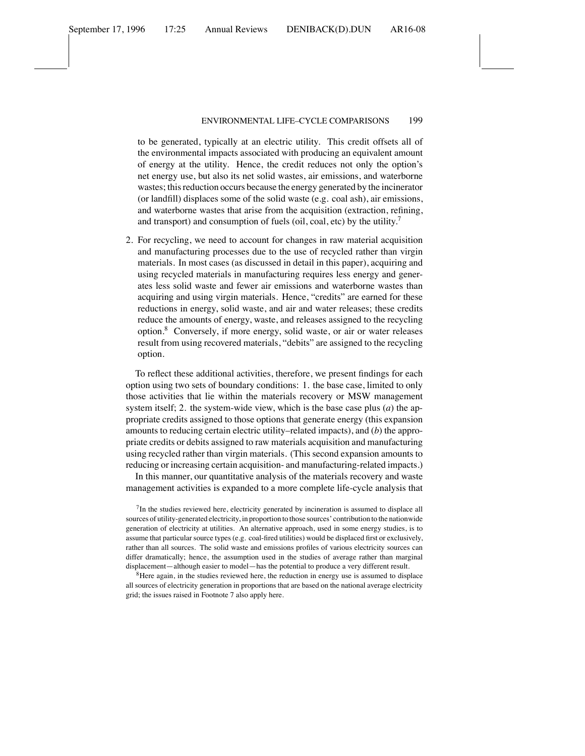to be generated, typically at an electric utility. This credit offsets all of the environmental impacts associated with producing an equivalent amount of energy at the utility. Hence, the credit reduces not only the option's net energy use, but also its net solid wastes, air emissions, and waterborne wastes; this reduction occurs because the energy generated by the incinerator (or landfill) displaces some of the solid waste (e.g. coal ash), air emissions, and waterborne wastes that arise from the acquisition (extraction, refining, and transport) and consumption of fuels (oil, coal, etc) by the utility.<sup>7</sup>

2. For recycling, we need to account for changes in raw material acquisition and manufacturing processes due to the use of recycled rather than virgin materials. In most cases (as discussed in detail in this paper), acquiring and using recycled materials in manufacturing requires less energy and generates less solid waste and fewer air emissions and waterborne wastes than acquiring and using virgin materials. Hence, "credits" are earned for these reductions in energy, solid waste, and air and water releases; these credits reduce the amounts of energy, waste, and releases assigned to the recycling option.8 Conversely, if more energy, solid waste, or air or water releases result from using recovered materials, "debits" are assigned to the recycling option.

To reflect these additional activities, therefore, we present findings for each option using two sets of boundary conditions: 1. the base case, limited to only those activities that lie within the materials recovery or MSW management system itself; 2. the system-wide view, which is the base case plus (*a*) the appropriate credits assigned to those options that generate energy (this expansion amounts to reducing certain electric utility–related impacts), and (*b*) the appropriate credits or debits assigned to raw materials acquisition and manufacturing using recycled rather than virgin materials. (This second expansion amounts to reducing or increasing certain acquisition- and manufacturing-related impacts.)

In this manner, our quantitative analysis of the materials recovery and waste management activities is expanded to a more complete life-cycle analysis that

7In the studies reviewed here, electricity generated by incineration is assumed to displace all sources of utility-generated electricity, in proportion to those sources' contribution to the nationwide generation of electricity at utilities. An alternative approach, used in some energy studies, is to assume that particular source types (e.g. coal-fired utilities) would be displaced first or exclusively, rather than all sources. The solid waste and emissions profiles of various electricity sources can differ dramatically; hence, the assumption used in the studies of average rather than marginal displacement—although easier to model—has the potential to produce a very different result.

<sup>8</sup>Here again, in the studies reviewed here, the reduction in energy use is assumed to displace all sources of electricity generation in proportions that are based on the national average electricity grid; the issues raised in Footnote 7 also apply here.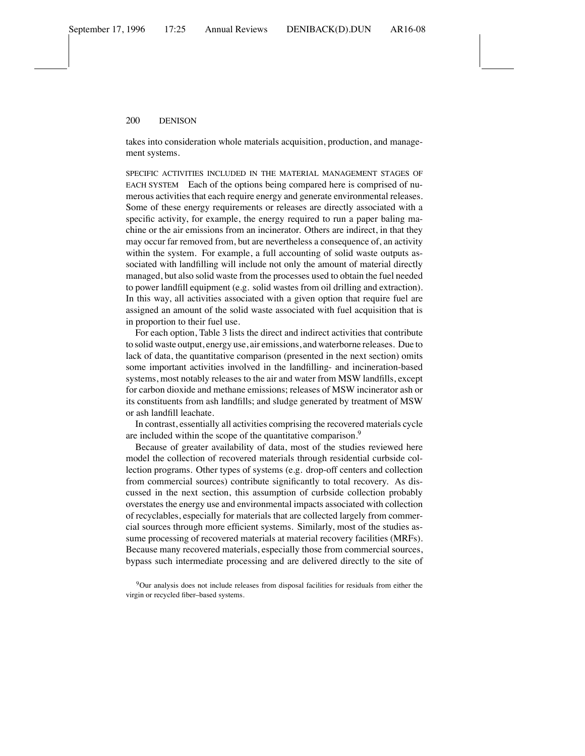takes into consideration whole materials acquisition, production, and management systems.

SPECIFIC ACTIVITIES INCLUDED IN THE MATERIAL MANAGEMENT STAGES OF EACH SYSTEM Each of the options being compared here is comprised of numerous activities that each require energy and generate environmental releases. Some of these energy requirements or releases are directly associated with a specific activity, for example, the energy required to run a paper baling machine or the air emissions from an incinerator. Others are indirect, in that they may occur far removed from, but are nevertheless a consequence of, an activity within the system. For example, a full accounting of solid waste outputs associated with landfilling will include not only the amount of material directly managed, but also solid waste from the processes used to obtain the fuel needed to power landfill equipment (e.g. solid wastes from oil drilling and extraction). In this way, all activities associated with a given option that require fuel are assigned an amount of the solid waste associated with fuel acquisition that is in proportion to their fuel use.

For each option, Table 3 lists the direct and indirect activities that contribute to solid waste output, energy use, air emissions, and waterborne releases. Due to lack of data, the quantitative comparison (presented in the next section) omits some important activities involved in the landfilling- and incineration-based systems, most notably releases to the air and water from MSW landfills, except for carbon dioxide and methane emissions; releases of MSW incinerator ash or its constituents from ash landfills; and sludge generated by treatment of MSW or ash landfill leachate.

In contrast, essentially all activities comprising the recovered materials cycle are included within the scope of the quantitative comparison.<sup>9</sup>

Because of greater availability of data, most of the studies reviewed here model the collection of recovered materials through residential curbside collection programs. Other types of systems (e.g. drop-off centers and collection from commercial sources) contribute significantly to total recovery. As discussed in the next section, this assumption of curbside collection probably overstates the energy use and environmental impacts associated with collection of recyclables, especially for materials that are collected largely from commercial sources through more efficient systems. Similarly, most of the studies assume processing of recovered materials at material recovery facilities (MRFs). Because many recovered materials, especially those from commercial sources, bypass such intermediate processing and are delivered directly to the site of

<sup>9</sup>Our analysis does not include releases from disposal facilities for residuals from either the virgin or recycled fiber–based systems.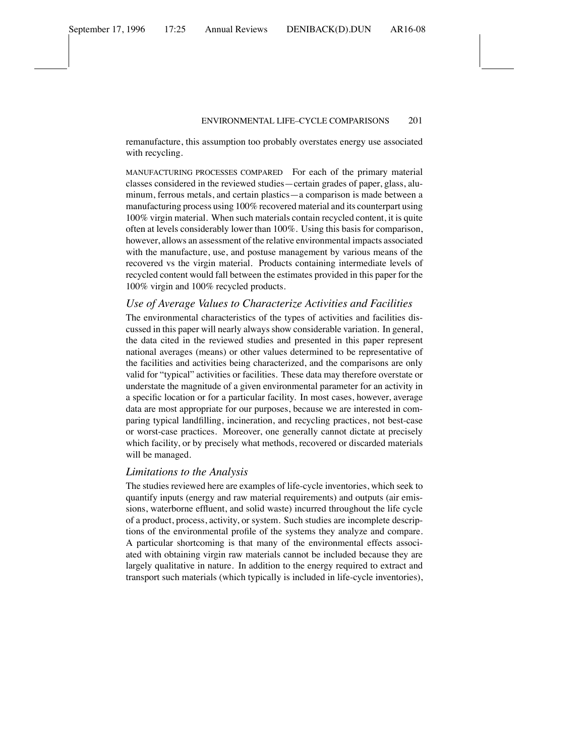remanufacture, this assumption too probably overstates energy use associated with recycling.

MANUFACTURING PROCESSES COMPARED For each of the primary material classes considered in the reviewed studies—certain grades of paper, glass, aluminum, ferrous metals, and certain plastics—a comparison is made between a manufacturing process using 100% recovered material and its counterpart using 100% virgin material. When such materials contain recycled content, it is quite often at levels considerably lower than 100%. Using this basis for comparison, however, allows an assessment of the relative environmental impacts associated with the manufacture, use, and postuse management by various means of the recovered vs the virgin material. Products containing intermediate levels of recycled content would fall between the estimates provided in this paper for the 100% virgin and 100% recycled products.

## *Use of Average Values to Characterize Activities and Facilities*

The environmental characteristics of the types of activities and facilities discussed in this paper will nearly always show considerable variation. In general, the data cited in the reviewed studies and presented in this paper represent national averages (means) or other values determined to be representative of the facilities and activities being characterized, and the comparisons are only valid for "typical" activities or facilities. These data may therefore overstate or understate the magnitude of a given environmental parameter for an activity in a specific location or for a particular facility. In most cases, however, average data are most appropriate for our purposes, because we are interested in comparing typical landfilling, incineration, and recycling practices, not best-case or worst-case practices. Moreover, one generally cannot dictate at precisely which facility, or by precisely what methods, recovered or discarded materials will be managed.

## *Limitations to the Analysis*

The studies reviewed here are examples of life-cycle inventories, which seek to quantify inputs (energy and raw material requirements) and outputs (air emissions, waterborne effluent, and solid waste) incurred throughout the life cycle of a product, process, activity, or system. Such studies are incomplete descriptions of the environmental profile of the systems they analyze and compare. A particular shortcoming is that many of the environmental effects associated with obtaining virgin raw materials cannot be included because they are largely qualitative in nature. In addition to the energy required to extract and transport such materials (which typically is included in life-cycle inventories),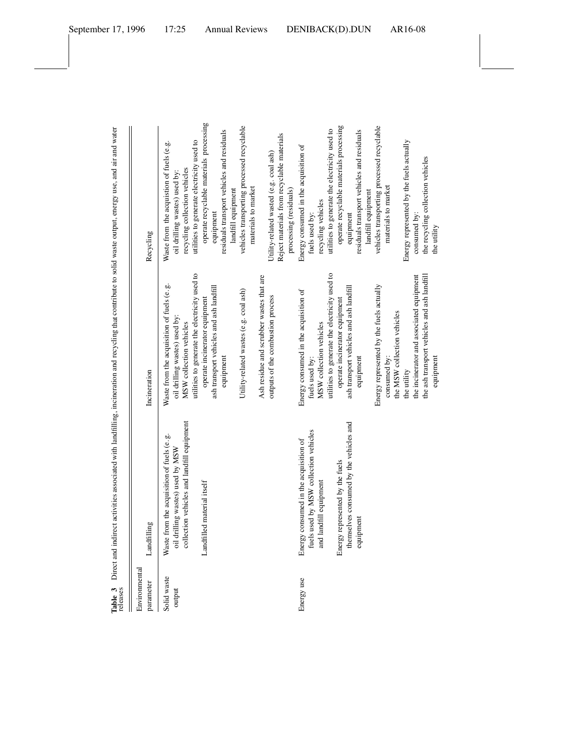| releases                   | Table 3 Direct and indirect activities associated with landfilling, incineration and recycling that contribute to solid waste output, energy use, and air and water |                                                                                                                                                        |                                                                                                                                                         |
|----------------------------|---------------------------------------------------------------------------------------------------------------------------------------------------------------------|--------------------------------------------------------------------------------------------------------------------------------------------------------|---------------------------------------------------------------------------------------------------------------------------------------------------------|
| Environmental<br>parameter | Landfilling                                                                                                                                                         | Incineration                                                                                                                                           | Recycling                                                                                                                                               |
| Solid waste<br>output      | collection vehicles and landfill equipment<br>Waste from the acquisition of fuels (e.g.<br>oil drilling wastes) used by MSW                                         | utilities to generate the electricity used to<br>Waste from the acquisition of fuels (e.g.<br>oil drilling wastes) used by:<br>MSW collection vehicles | utilities to generate electricity used to<br>Waste from the acquistion of fuels (e.g.<br>recycling collection vehicles<br>oil drilling wastes) used by: |
|                            | Landfilled material itself                                                                                                                                          | ash transport vehicles and ash landfill<br>operate incinerator equipment<br>equipment                                                                  | operate recyclable materials processing<br>residuals transport vehicles and residuals<br>landfill equipment<br>equipment                                |
|                            |                                                                                                                                                                     | Utility-related wastes (e.g. coal ash)                                                                                                                 | vehicles transporting processed recyclable<br>materials to market                                                                                       |
|                            |                                                                                                                                                                     | Ash residue and scrubber wastes that are<br>outputs of the combustion process                                                                          | Reject materials from recyclable materials<br>Utility-related wasted (e.g. coal ash)<br>processing (residuals)                                          |
| Energy use                 | fuels used by MSW collection vehicles<br>Energy consumed in the acquisition of<br>and landfill equipment                                                            | utilities to generate the electricity used to<br>Energy consumed in the acquisition of<br>MSW collection vehicles<br>fuels used by:                    | utilities to generate the electricity used to<br>Energy consumed in the acquisition of<br>recycling vehicles<br>fuels used by:                          |
|                            | themselves consumed by the vehicles and<br>Energy represented by the fuels<br>equipment                                                                             | ash transport vehicles and ash landfill<br>operate incinerator equipment<br>equipment                                                                  | operate recyclable materials processing<br>residuals transport vehicles and residuals<br>landfill equipment<br>equipment                                |
|                            |                                                                                                                                                                     | Energy represented by the fuels actually<br>the MSW collection vehicles<br>consumed by:                                                                | vehicles transporting processed recyclable<br>materials to market                                                                                       |
|                            |                                                                                                                                                                     | the ash transport vehicles and ash landfill<br>the incinerator and associated equipment<br>equipment<br>the utility                                    | Energy represented by the fuels actually<br>the recycling collection vehicles<br>consumed by:<br>the utility                                            |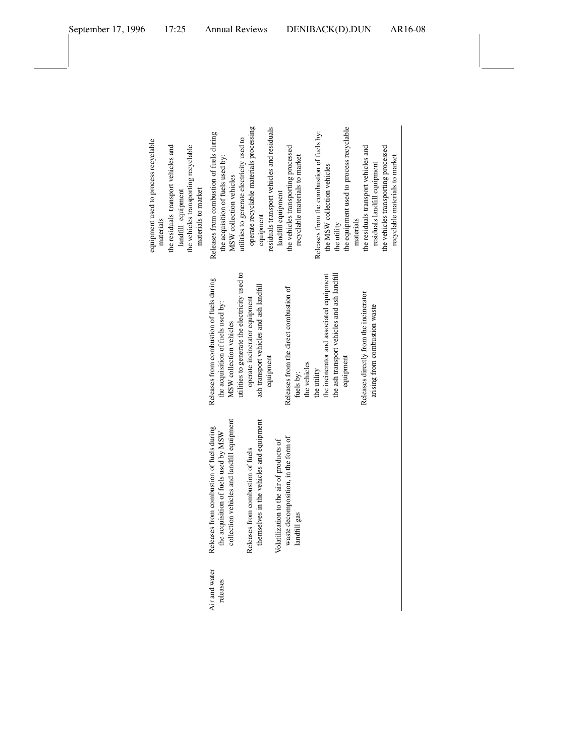| the vehicles transporting processed<br>recyclable materials to market             |                                                                         |                                            |               |
|-----------------------------------------------------------------------------------|-------------------------------------------------------------------------|--------------------------------------------|---------------|
| the residuals transport vehicles and<br>residuals landfill equipment<br>materials | Releases directly from the incinerator<br>arising from combustion waste |                                            |               |
| the equipment used to process recyclable                                          | equipment                                                               |                                            |               |
| the utility                                                                       | the ash transport vehicles and ash landfill                             |                                            |               |
| the MSW collection vehicles                                                       | the incinerator and associated equipment                                |                                            |               |
| Releases from the combustion of fuels by:                                         | the utility                                                             |                                            |               |
|                                                                                   | the vehicles                                                            |                                            |               |
| recyclable materials to market                                                    | fuels by:                                                               | landfill gas                               |               |
| the vehicles transporting processed                                               | Releases from the direct combustion of                                  | waste decomposition, in the form of        |               |
| landfill equipment                                                                |                                                                         | Volatilization to the air of products of   |               |
| residuals transport vehicles and residuals                                        | equipment                                                               |                                            |               |
| equipment                                                                         | ash transport vehicles and ash landfill                                 | themselves in the vehicles and equipment   |               |
| operate recyclable materials processing                                           | operate incinerator equipment                                           | Releases from combustion of fuels          |               |
| utilities to generate electricity used to                                         | utilities to generate the electricity used to                           |                                            |               |
| MSW collection vehicles                                                           | MSW collection vehicles                                                 | collection vehicles and landfill equipment |               |
| the acquisition of fuels used by:                                                 | the acquisition of fuels used by:                                       | the acquisition of fuels used by MSW       | releases      |
| Releases from combustion of fuels during                                          | Releases from combustion of fuels during                                | Releases from combustion of fuels during   | Air and water |
| materials to market                                                               |                                                                         |                                            |               |
| the vehicles transporting recyclable<br>landfill equipment                        |                                                                         |                                            |               |
| the residuals transport vehicles and                                              |                                                                         |                                            |               |
| materials                                                                         |                                                                         |                                            |               |
| equipment used to process recyclable                                              |                                                                         |                                            |               |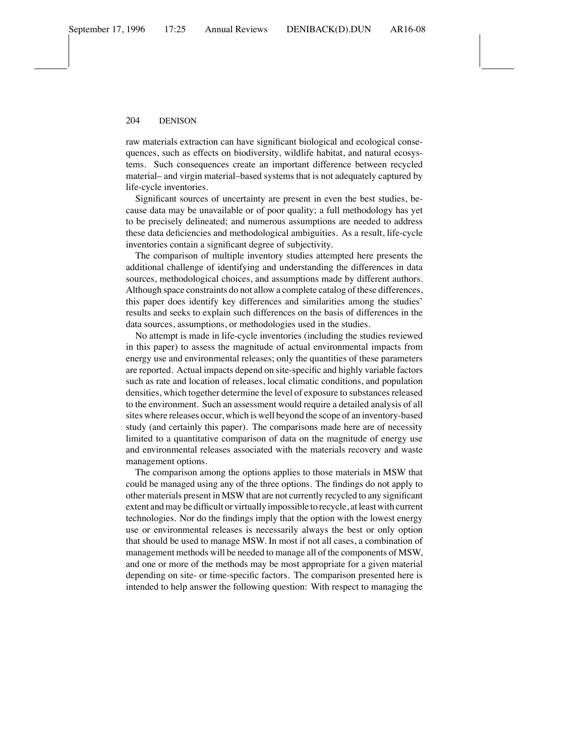raw materials extraction can have significant biological and ecological consequences, such as effects on biodiversity, wildlife habitat, and natural ecosystems. Such consequences create an important difference between recycled material– and virgin material–based systems that is not adequately captured by life-cycle inventories.

Significant sources of uncertainty are present in even the best studies, because data may be unavailable or of poor quality; a full methodology has yet to be precisely delineated; and numerous assumptions are needed to address these data deficiencies and methodological ambiguities. As a result, life-cycle inventories contain a significant degree of subjectivity.

The comparison of multiple inventory studies attempted here presents the additional challenge of identifying and understanding the differences in data sources, methodological choices, and assumptions made by different authors. Although space constraints do not allow a complete catalog of these differences, this paper does identify key differences and similarities among the studies' results and seeks to explain such differences on the basis of differences in the data sources, assumptions, or methodologies used in the studies.

No attempt is made in life-cycle inventories (including the studies reviewed in this paper) to assess the magnitude of actual environmental impacts from energy use and environmental releases; only the quantities of these parameters are reported. Actual impacts depend on site-specific and highly variable factors such as rate and location of releases, local climatic conditions, and population densities, which together determine the level of exposure to substances released to the environment. Such an assessment would require a detailed analysis of all sites where releases occur, which is well beyond the scope of an inventory-based study (and certainly this paper). The comparisons made here are of necessity limited to a quantitative comparison of data on the magnitude of energy use and environmental releases associated with the materials recovery and waste management options.

The comparison among the options applies to those materials in MSW that could be managed using any of the three options. The findings do not apply to other materials present in MSW that are not currently recycled to any significant extent and may be difficult or virtually impossible to recycle, at least with current technologies. Nor do the findings imply that the option with the lowest energy use or environmental releases is necessarily always the best or only option that should be used to manage MSW. In most if not all cases, a combination of management methods will be needed to manage all of the components of MSW, and one or more of the methods may be most appropriate for a given material depending on site- or time-specific factors. The comparison presented here is intended to help answer the following question: With respect to managing the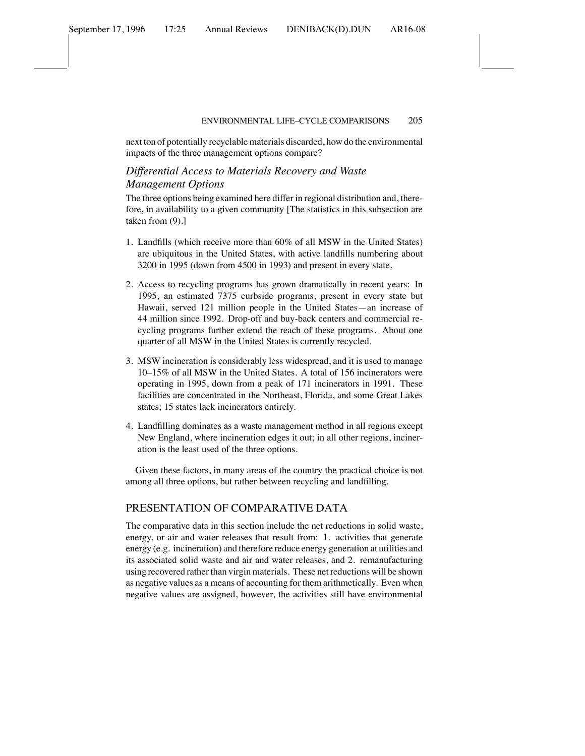next ton of potentially recyclable materials discarded, how do the environmental impacts of the three management options compare?

## *Differential Access to Materials Recovery and Waste Management Options*

The three options being examined here differ in regional distribution and, therefore, in availability to a given community [The statistics in this subsection are taken from (9).]

- 1. Landfills (which receive more than 60% of all MSW in the United States) are ubiquitous in the United States, with active landfills numbering about 3200 in 1995 (down from 4500 in 1993) and present in every state.
- 2. Access to recycling programs has grown dramatically in recent years: In 1995, an estimated 7375 curbside programs, present in every state but Hawaii, served 121 million people in the United States—an increase of 44 million since 1992. Drop-off and buy-back centers and commercial recycling programs further extend the reach of these programs. About one quarter of all MSW in the United States is currently recycled.
- 3. MSW incineration is considerably less widespread, and it is used to manage 10–15% of all MSW in the United States. A total of 156 incinerators were operating in 1995, down from a peak of 171 incinerators in 1991. These facilities are concentrated in the Northeast, Florida, and some Great Lakes states; 15 states lack incinerators entirely.
- 4. Landfilling dominates as a waste management method in all regions except New England, where incineration edges it out; in all other regions, incineration is the least used of the three options.

Given these factors, in many areas of the country the practical choice is not among all three options, but rather between recycling and landfilling.

## PRESENTATION OF COMPARATIVE DATA

The comparative data in this section include the net reductions in solid waste, energy, or air and water releases that result from: 1. activities that generate energy (e.g. incineration) and therefore reduce energy generation at utilities and its associated solid waste and air and water releases, and 2. remanufacturing using recovered rather than virgin materials. These net reductions will be shown as negative values as a means of accounting for them arithmetically. Even when negative values are assigned, however, the activities still have environmental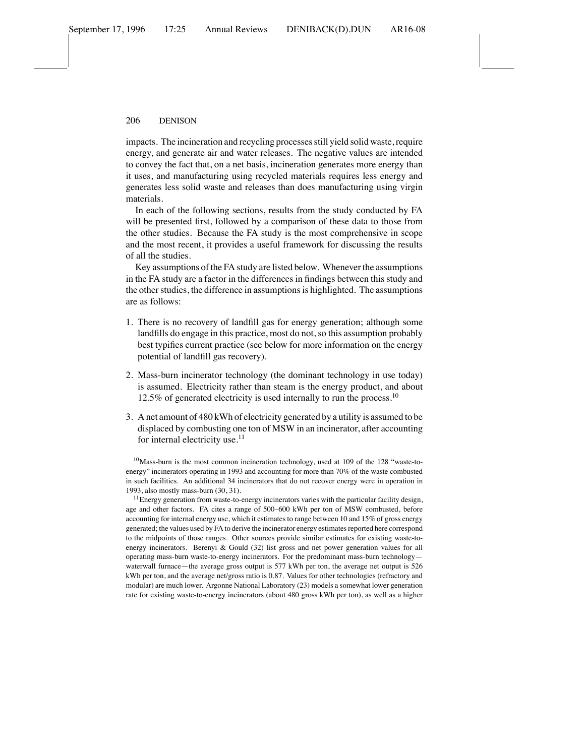impacts. The incineration and recycling processes still yield solid waste, require energy, and generate air and water releases. The negative values are intended to convey the fact that, on a net basis, incineration generates more energy than it uses, and manufacturing using recycled materials requires less energy and generates less solid waste and releases than does manufacturing using virgin materials.

In each of the following sections, results from the study conducted by FA will be presented first, followed by a comparison of these data to those from the other studies. Because the FA study is the most comprehensive in scope and the most recent, it provides a useful framework for discussing the results of all the studies.

Key assumptions of the FA study are listed below. Whenever the assumptions in the FA study are a factor in the differences in findings between this study and the other studies, the difference in assumptions is highlighted. The assumptions are as follows:

- 1. There is no recovery of landfill gas for energy generation; although some landfills do engage in this practice, most do not, so this assumption probably best typifies current practice (see below for more information on the energy potential of landfill gas recovery).
- 2. Mass-burn incinerator technology (the dominant technology in use today) is assumed. Electricity rather than steam is the energy product, and about 12.5% of generated electricity is used internally to run the process.<sup>10</sup>
- 3. A net amount of 480 kWh of electricity generated by a utility is assumed to be displaced by combusting one ton of MSW in an incinerator, after accounting for internal electricity use. $<sup>11</sup>$ </sup>

 $10$ Mass-burn is the most common incineration technology, used at 109 of the 128 "waste-toenergy" incinerators operating in 1993 and accounting for more than 70% of the waste combusted in such facilities. An additional 34 incinerators that do not recover energy were in operation in 1993, also mostly mass-burn (30, 31).

 $11$ Energy generation from waste-to-energy incinerators varies with the particular facility design, age and other factors. FA cites a range of 500–600 kWh per ton of MSW combusted, before accounting for internal energy use, which it estimates to range between 10 and 15% of gross energy generated; the values used by FA to derive the incinerator energy estimates reported here correspond to the midpoints of those ranges. Other sources provide similar estimates for existing waste-toenergy incinerators. Berenyi  $\&$  Gould (32) list gross and net power generation values for all operating mass-burn waste-to-energy incinerators. For the predominant mass-burn technology waterwall furnace—the average gross output is 577 kWh per ton, the average net output is 526 kWh per ton, and the average net/gross ratio is 0.87. Values for other technologies (refractory and modular) are much lower. Argonne National Laboratory (23) models a somewhat lower generation rate for existing waste-to-energy incinerators (about 480 gross kWh per ton), as well as a higher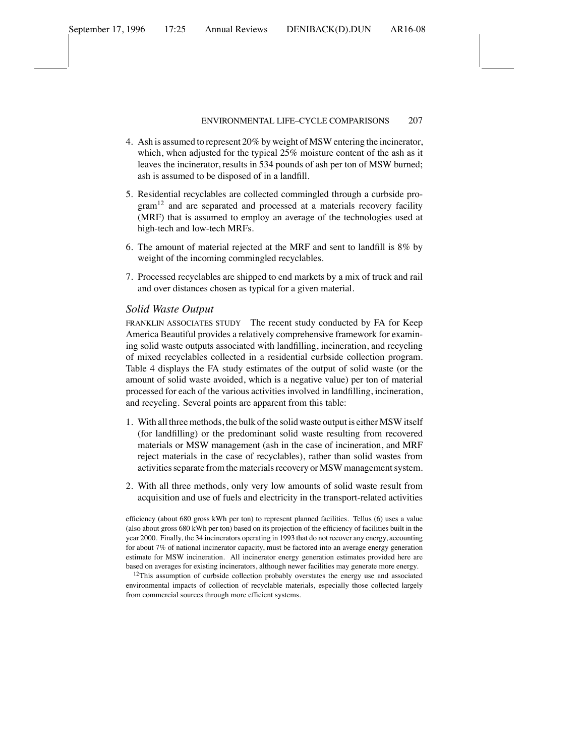- 4. Ash is assumed to represent 20% by weight of MSW entering the incinerator, which, when adjusted for the typical 25% moisture content of the ash as it leaves the incinerator, results in 534 pounds of ash per ton of MSW burned; ash is assumed to be disposed of in a landfill.
- 5. Residential recyclables are collected commingled through a curbside pro- $\text{gram}^{12}$  and are separated and processed at a materials recovery facility (MRF) that is assumed to employ an average of the technologies used at high-tech and low-tech MRFs.
- 6. The amount of material rejected at the MRF and sent to landfill is 8% by weight of the incoming commingled recyclables.
- 7. Processed recyclables are shipped to end markets by a mix of truck and rail and over distances chosen as typical for a given material.

## *Solid Waste Output*

FRANKLIN ASSOCIATES STUDY The recent study conducted by FA for Keep America Beautiful provides a relatively comprehensive framework for examining solid waste outputs associated with landfilling, incineration, and recycling of mixed recyclables collected in a residential curbside collection program. Table 4 displays the FA study estimates of the output of solid waste (or the amount of solid waste avoided, which is a negative value) per ton of material processed for each of the various activities involved in landfilling, incineration, and recycling. Several points are apparent from this table:

- 1. With all three methods, the bulk of the solid waste output is either MSW itself (for landfilling) or the predominant solid waste resulting from recovered materials or MSW management (ash in the case of incineration, and MRF reject materials in the case of recyclables), rather than solid wastes from activities separate from the materials recovery or MSW management system.
- 2. With all three methods, only very low amounts of solid waste result from acquisition and use of fuels and electricity in the transport-related activities

efficiency (about 680 gross kWh per ton) to represent planned facilities. Tellus (6) uses a value (also about gross 680 kWh per ton) based on its projection of the efficiency of facilities built in the year 2000. Finally, the 34 incinerators operating in 1993 that do not recover any energy, accounting for about 7% of national incinerator capacity, must be factored into an average energy generation estimate for MSW incineration. All incinerator energy generation estimates provided here are based on averages for existing incinerators, although newer facilities may generate more energy.

<sup>12</sup>This assumption of curbside collection probably overstates the energy use and associated environmental impacts of collection of recyclable materials, especially those collected largely from commercial sources through more efficient systems.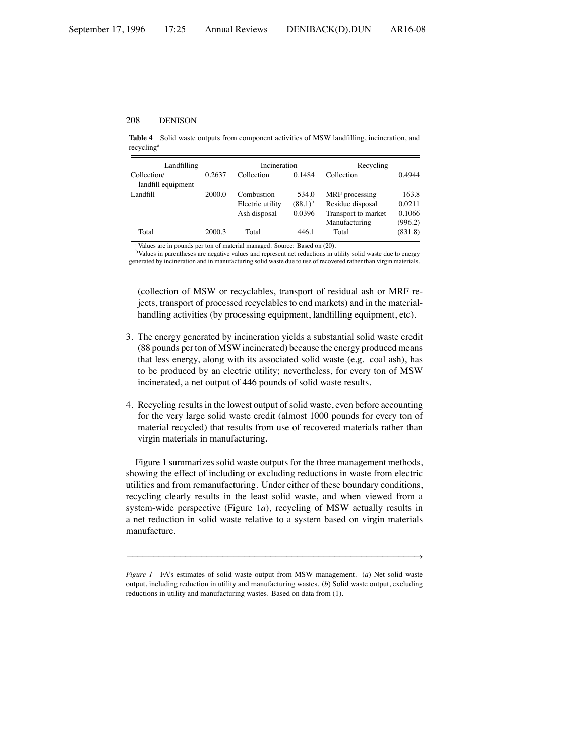| Landfilling                       |        | Incineration                                   |                                 | Recycling                                                                  |                                      |
|-----------------------------------|--------|------------------------------------------------|---------------------------------|----------------------------------------------------------------------------|--------------------------------------|
| Collection/<br>landfill equipment | 0.2637 | Collection                                     | 0.1484                          | Collection                                                                 | 0.4944                               |
| Landfill                          | 2000.0 | Combustion<br>Electric utility<br>Ash disposal | 534.0<br>$(88.1)^{b}$<br>0.0396 | MRF processing<br>Residue disposal<br>Transport to market<br>Manufacturing | 163.8<br>0.0211<br>0.1066<br>(996.2) |
| Total                             | 2000.3 | Total                                          | 446.1                           | Total                                                                      | (831.8)                              |

**Table 4** Solid waste outputs from component activities of MSW landfilling, incineration, and recycling<sup>a</sup>

<sup>a</sup>Values are in pounds per ton of material managed. Source: Based on (20).

<sup>b</sup>Values in parentheses are negative values and represent net reductions in utility solid waste due to energy generated by incineration and in manufacturing solid waste due to use of recovered rather than virgin materials.

(collection of MSW or recyclables, transport of residual ash or MRF rejects, transport of processed recyclables to end markets) and in the materialhandling activities (by processing equipment, landfilling equipment, etc).

- 3. The energy generated by incineration yields a substantial solid waste credit (88 pounds per ton of MSW incinerated) because the energy produced means that less energy, along with its associated solid waste (e.g. coal ash), has to be produced by an electric utility; nevertheless, for every ton of MSW incinerated, a net output of 446 pounds of solid waste results.
- 4. Recycling results in the lowest output of solid waste, even before accounting for the very large solid waste credit (almost 1000 pounds for every ton of material recycled) that results from use of recovered materials rather than virgin materials in manufacturing.

Figure 1 summarizes solid waste outputs for the three management methods, showing the effect of including or excluding reductions in waste from electric utilities and from remanufacturing. Under either of these boundary conditions, recycling clearly results in the least solid waste, and when viewed from a system-wide perspective (Figure 1*a*), recycling of MSW actually results in a net reduction in solid waste relative to a system based on virgin materials manufacture.

*Figure 1* FA's estimates of solid waste output from MSW management. (*a*) Net solid waste output, including reduction in utility and manufacturing wastes. (*b*) Solid waste output, excluding reductions in utility and manufacturing wastes. Based on data from (1).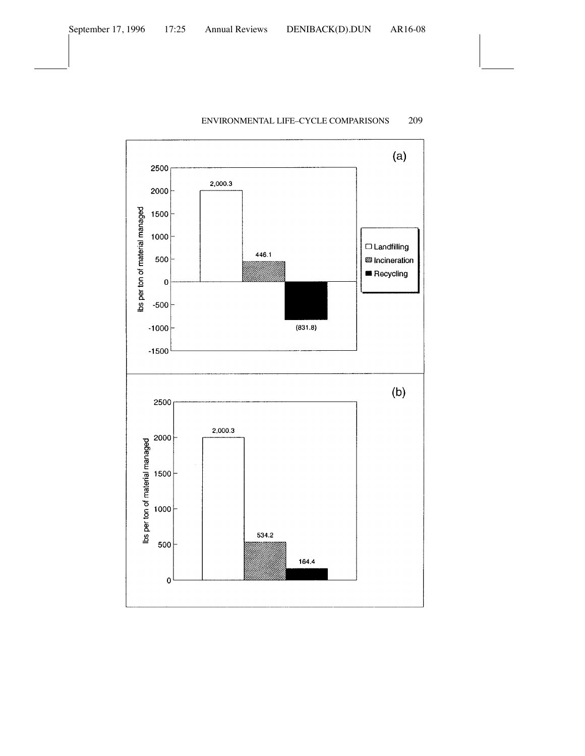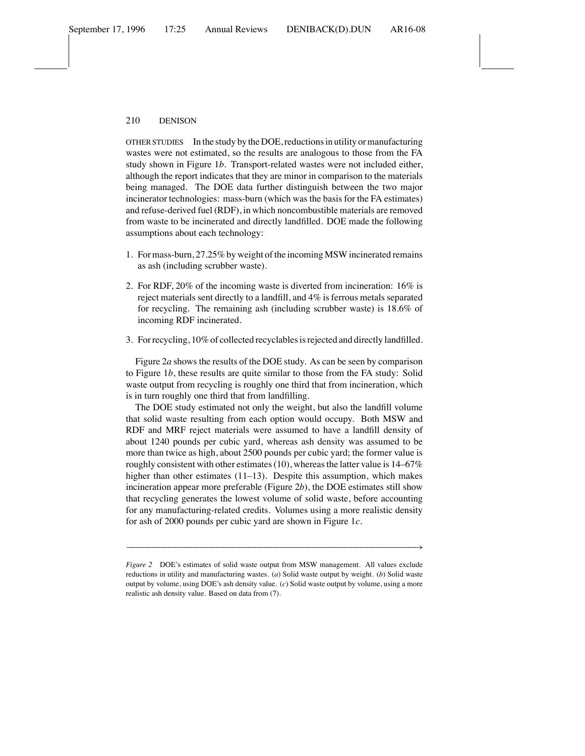OTHER STUDIES In the study by the DOE, reductions in utility or manufacturing wastes were not estimated, so the results are analogous to those from the FA study shown in Figure 1*b*. Transport-related wastes were not included either, although the report indicates that they are minor in comparison to the materials being managed. The DOE data further distinguish between the two major incinerator technologies: mass-burn (which was the basis for the FA estimates) and refuse-derived fuel (RDF), in which noncombustible materials are removed from waste to be incinerated and directly landfilled. DOE made the following assumptions about each technology:

- 1. For mass-burn, 27.25% by weight of the incoming MSW incinerated remains as ash (including scrubber waste).
- 2. For RDF, 20% of the incoming waste is diverted from incineration: 16% is reject materials sent directly to a landfill, and 4% is ferrous metals separated for recycling. The remaining ash (including scrubber waste) is 18.6% of incoming RDF incinerated.
- 3. For recycling, 10% of collected recyclables is rejected and directly landfilled.

Figure 2*a* shows the results of the DOE study. As can be seen by comparison to Figure 1*b*, these results are quite similar to those from the FA study: Solid waste output from recycling is roughly one third that from incineration, which is in turn roughly one third that from landfilling.

The DOE study estimated not only the weight, but also the landfill volume that solid waste resulting from each option would occupy. Both MSW and RDF and MRF reject materials were assumed to have a landfill density of about 1240 pounds per cubic yard, whereas ash density was assumed to be more than twice as high, about 2500 pounds per cubic yard; the former value is roughly consistent with other estimates (10), whereas the latter value is  $14-67\%$ higher than other estimates (11–13). Despite this assumption, which makes incineration appear more preferable (Figure 2*b*), the DOE estimates still show that recycling generates the lowest volume of solid waste, before accounting for any manufacturing-related credits. Volumes using a more realistic density for ash of 2000 pounds per cubic yard are shown in Figure 1*c*.

*Figure 2* DOE's estimates of solid waste output from MSW management. All values exclude reductions in utility and manufacturing wastes. (*a*) Solid waste output by weight. (*b*) Solid waste output by volume, using DOE's ash density value. (*c*) Solid waste output by volume, using a more realistic ash density value. Based on data from (7).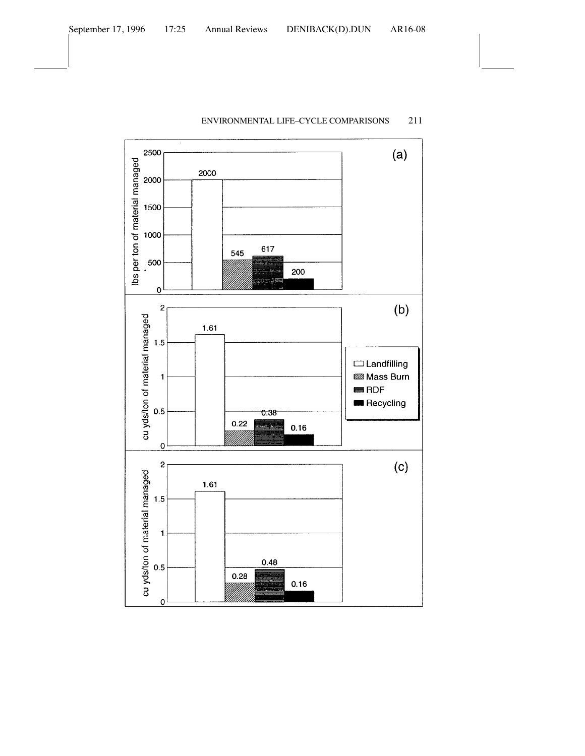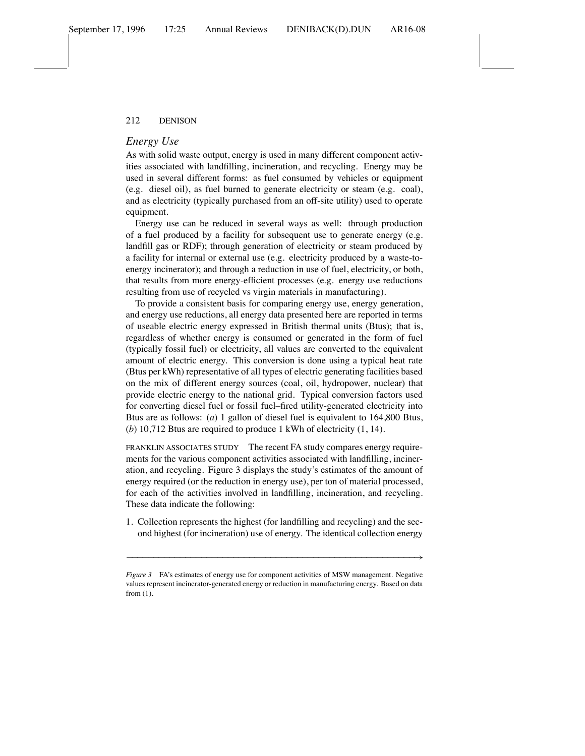## *Energy Use*

As with solid waste output, energy is used in many different component activities associated with landfilling, incineration, and recycling. Energy may be used in several different forms: as fuel consumed by vehicles or equipment (e.g. diesel oil), as fuel burned to generate electricity or steam (e.g. coal), and as electricity (typically purchased from an off-site utility) used to operate equipment.

Energy use can be reduced in several ways as well: through production of a fuel produced by a facility for subsequent use to generate energy (e.g. landfill gas or RDF); through generation of electricity or steam produced by a facility for internal or external use (e.g. electricity produced by a waste-toenergy incinerator); and through a reduction in use of fuel, electricity, or both, that results from more energy-efficient processes (e.g. energy use reductions resulting from use of recycled vs virgin materials in manufacturing).

To provide a consistent basis for comparing energy use, energy generation, and energy use reductions, all energy data presented here are reported in terms of useable electric energy expressed in British thermal units (Btus); that is, regardless of whether energy is consumed or generated in the form of fuel (typically fossil fuel) or electricity, all values are converted to the equivalent amount of electric energy. This conversion is done using a typical heat rate (Btus per kWh) representative of all types of electric generating facilities based on the mix of different energy sources (coal, oil, hydropower, nuclear) that provide electric energy to the national grid. Typical conversion factors used for converting diesel fuel or fossil fuel–fired utility-generated electricity into Btus are as follows: (*a*) 1 gallon of diesel fuel is equivalent to 164,800 Btus, (*b*) 10,712 Btus are required to produce 1 kWh of electricity (1, 14).

FRANKLIN ASSOCIATES STUDY The recent FA study compares energy requirements for the various component activities associated with landfilling, incineration, and recycling. Figure 3 displays the study's estimates of the amount of energy required (or the reduction in energy use), per ton of material processed, for each of the activities involved in landfilling, incineration, and recycling. These data indicate the following:

1. Collection represents the highest (for landfilling and recycling) and the second highest (for incineration) use of energy. The identical collection energy

*Figure 3* FA's estimates of energy use for component activities of MSW management. Negative values represent incinerator-generated energy or reduction in manufacturing energy. Based on data from (1).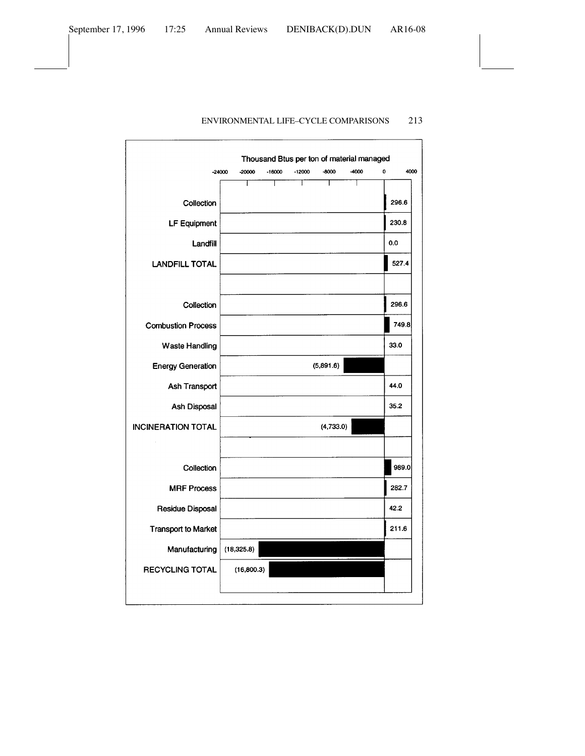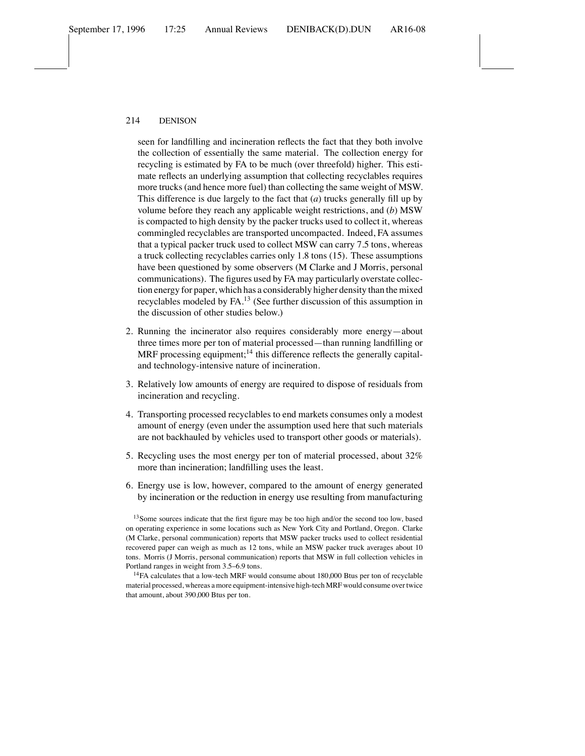seen for landfilling and incineration reflects the fact that they both involve the collection of essentially the same material. The collection energy for recycling is estimated by FA to be much (over threefold) higher. This estimate reflects an underlying assumption that collecting recyclables requires more trucks (and hence more fuel) than collecting the same weight of MSW. This difference is due largely to the fact that (*a*) trucks generally fill up by volume before they reach any applicable weight restrictions, and (*b*) MSW is compacted to high density by the packer trucks used to collect it, whereas commingled recyclables are transported uncompacted. Indeed, FA assumes that a typical packer truck used to collect MSW can carry 7.5 tons, whereas a truck collecting recyclables carries only 1.8 tons (15). These assumptions have been questioned by some observers (M Clarke and J Morris, personal communications). The figures used by FA may particularly overstate collection energy for paper, which has a considerably higher density than the mixed recyclables modeled by FA.13 (See further discussion of this assumption in the discussion of other studies below.)

- 2. Running the incinerator also requires considerably more energy—about three times more per ton of material processed—than running landfilling or MRF processing equipment;<sup>14</sup> this difference reflects the generally capitaland technology-intensive nature of incineration.
- 3. Relatively low amounts of energy are required to dispose of residuals from incineration and recycling.
- 4. Transporting processed recyclables to end markets consumes only a modest amount of energy (even under the assumption used here that such materials are not backhauled by vehicles used to transport other goods or materials).
- 5. Recycling uses the most energy per ton of material processed, about 32% more than incineration; landfilling uses the least.
- 6. Energy use is low, however, compared to the amount of energy generated by incineration or the reduction in energy use resulting from manufacturing

<sup>13</sup>Some sources indicate that the first figure may be too high and/or the second too low, based on operating experience in some locations such as New York City and Portland, Oregon. Clarke (M Clarke, personal communication) reports that MSW packer trucks used to collect residential recovered paper can weigh as much as 12 tons, while an MSW packer truck averages about 10 tons. Morris (J Morris, personal communication) reports that MSW in full collection vehicles in Portland ranges in weight from 3.5–6.9 tons.

<sup>14</sup>FA calculates that a low-tech MRF would consume about 180,000 Btus per ton of recyclable material processed, whereas a more equipment-intensive high-tech MRF would consume over twice that amount, about 390,000 Btus per ton.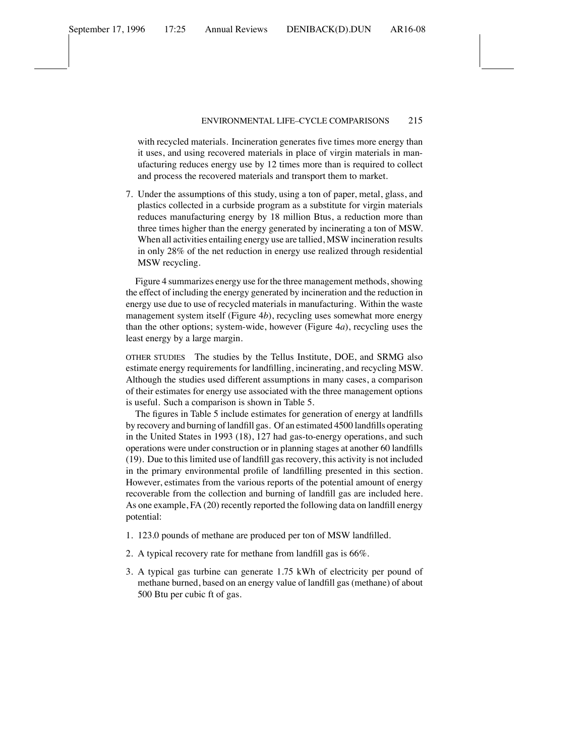with recycled materials. Incineration generates five times more energy than it uses, and using recovered materials in place of virgin materials in manufacturing reduces energy use by 12 times more than is required to collect and process the recovered materials and transport them to market.

7. Under the assumptions of this study, using a ton of paper, metal, glass, and plastics collected in a curbside program as a substitute for virgin materials reduces manufacturing energy by 18 million Btus, a reduction more than three times higher than the energy generated by incinerating a ton of MSW. When all activities entailing energy use are tallied, MSW incineration results in only 28% of the net reduction in energy use realized through residential MSW recycling.

Figure 4 summarizes energy use for the three management methods, showing the effect of including the energy generated by incineration and the reduction in energy use due to use of recycled materials in manufacturing. Within the waste management system itself (Figure 4*b*), recycling uses somewhat more energy than the other options; system-wide, however (Figure 4*a*), recycling uses the least energy by a large margin.

OTHER STUDIES The studies by the Tellus Institute, DOE, and SRMG also estimate energy requirements for landfilling, incinerating, and recycling MSW. Although the studies used different assumptions in many cases, a comparison of their estimates for energy use associated with the three management options is useful. Such a comparison is shown in Table 5.

The figures in Table 5 include estimates for generation of energy at landfills by recovery and burning of landfill gas. Of an estimated 4500 landfills operating in the United States in 1993 (18), 127 had gas-to-energy operations, and such operations were under construction or in planning stages at another 60 landfills (19). Due to this limited use of landfill gas recovery, this activity is not included in the primary environmental profile of landfilling presented in this section. However, estimates from the various reports of the potential amount of energy recoverable from the collection and burning of landfill gas are included here. As one example, FA (20) recently reported the following data on landfill energy potential:

- 1. 123.0 pounds of methane are produced per ton of MSW landfilled.
- 2. A typical recovery rate for methane from landfill gas is 66%.
- 3. A typical gas turbine can generate 1.75 kWh of electricity per pound of methane burned, based on an energy value of landfill gas (methane) of about 500 Btu per cubic ft of gas.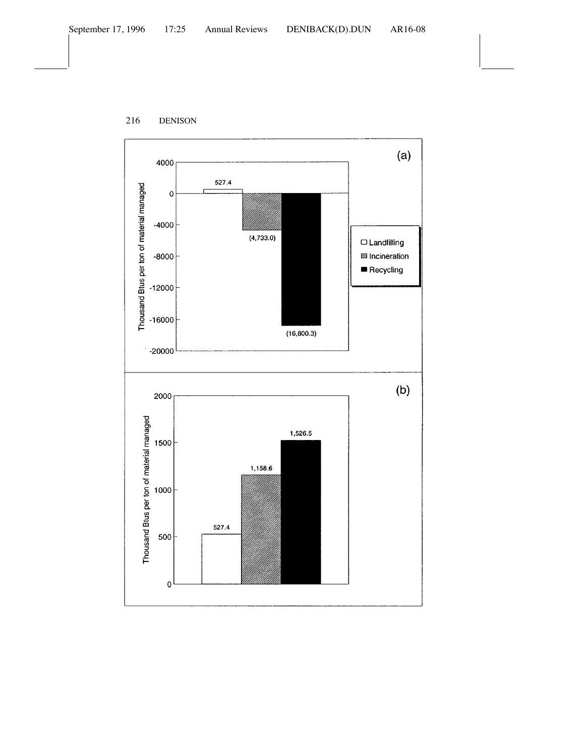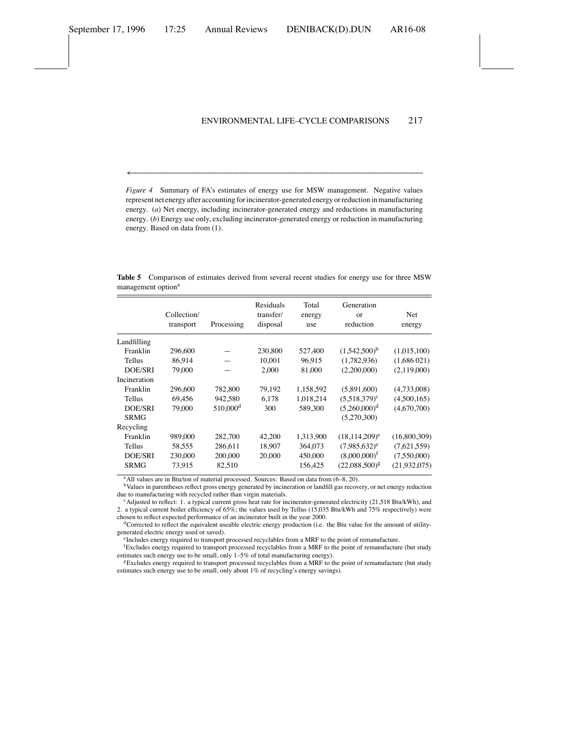*Figure 4* Summary of FA's estimates of energy use for MSW management. Negative values represent net energy after accounting for incinerator-generated energy or reduction in manufacturing energy. (*a*) Net energy, including incinerator-generated energy and reductions in manufacturing energy. (*b*) Energy use only, excluding incinerator-generated energy or reduction in manufacturing energy. Based on data from (1).

←−−−−−−−−−−−−−−−−−−−−−−−−−−−−−−−−−−−−−−−−−−−−−−−−−−−−−−

| Collection/<br>transport | Processing           | Residuals<br>transfer/<br>disposal | Total<br>energy<br>use | Generation<br><b>or</b><br>reduction | Net<br>energy |
|--------------------------|----------------------|------------------------------------|------------------------|--------------------------------------|---------------|
|                          |                      |                                    |                        |                                      |               |
| 296,600                  |                      | 230,800                            | 527,400                | $(1,542,500)^{b}$                    | (1,015,100)   |
| 86,914                   |                      | 10,001                             | 96,915                 | (1,782,936)                          | (1,686021)    |
| 79,000                   |                      | 2,000                              | 81,000                 | (2,200,000)                          | (2,119,000)   |
|                          |                      |                                    |                        |                                      |               |
| 296,600                  | 782.800              | 79.192                             | 1,158,592              | (5,891,600)                          | (4,733,008)   |
| 69,456                   | 942,580              | 6,178                              | 1,018,214              | $(5,518,379)^c$                      | (4,500,165)   |
| 79,000                   | 510,000 <sup>d</sup> | 300                                | 589.300                | $(5,260,000)^d$                      | (4,670,700)   |
|                          |                      |                                    |                        | (5,270,300)                          |               |
|                          |                      |                                    |                        |                                      |               |
| 989,000                  | 282.700              | 42.200                             | 1,313,900              | $(18.114.209)^e$                     | (16,800,309)  |
| 58,555                   | 286,611              | 18,907                             | 364,073                | $(7.985,632)^e$                      | (7,621,559)   |
| 230,000                  | 200,000              | 20,000                             | 450,000                | $(8,000,000)^f$                      | (7,550,000)   |
| 73.915                   | 82,510               |                                    | 156.425                | $(22,088,500)$ g                     | (21,932,075)  |
|                          |                      |                                    |                        |                                      |               |

Table 5 Comparison of estimates derived from several recent studies for energy use for three MSW management option<sup>a</sup>

<sup>a</sup>All values are in Btu/ton of material processed. Sources: Based on data from  $(6-8, 20)$ .

bValues in parentheses reflect gross energy generated by incineration or landfill gas recovery, or net energy reduction due to manufacturing with recycled rather than virgin materials.<br><sup>c</sup>Adjusted to reflect: 1. a typical current gross heat rate for incinerator-generated electricity (21,518 Btu/kWh), and

2. a typical current boiler efficiency of 65%; the values used by Tellus (15,035 Btu/kWh and 75% respectively) were chosen to reflect expected performance of an incinerator built in the year 2000.

<sup>d</sup>Corrected to reflect the equivalent useable electric energy production (i.e. the Btu value for the amount of utility-<br>generated electric energy used or saved).

<sup>e</sup>Includes energy required to transport processed recyclables from a MRF to the point of remanufacture.

f Excludes energy required to transport processed recyclables from a MRF to the point of remanufacture (but study estimates such energy use to be small, only 1–5% of total manufacturing energy).<br><sup>E</sup>Xcludes energy required to transport processed recyclables from a MRF to the point of remanufacture (but study

estimates such energy use to be small, only about 1% of recycling's energy savings).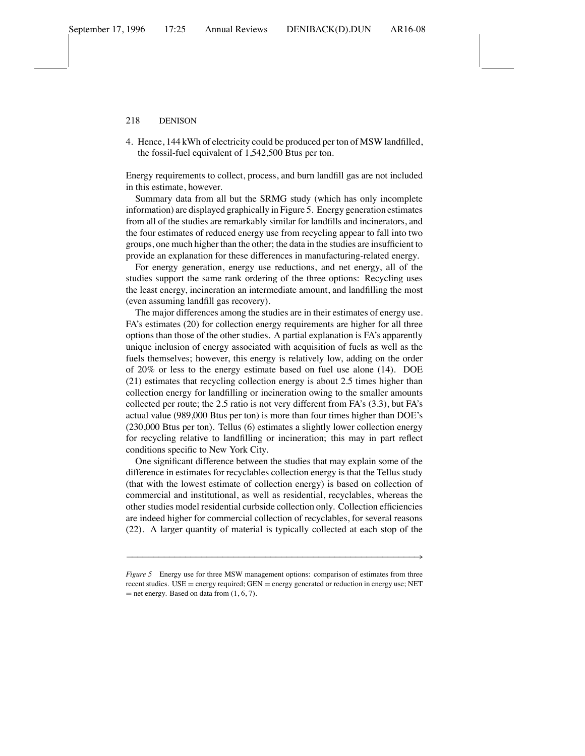4. Hence, 144 kWh of electricity could be produced per ton of MSW landfilled, the fossil-fuel equivalent of 1,542,500 Btus per ton.

Energy requirements to collect, process, and burn landfill gas are not included in this estimate, however.

Summary data from all but the SRMG study (which has only incomplete information) are displayed graphically in Figure 5. Energy generation estimates from all of the studies are remarkably similar for landfills and incinerators, and the four estimates of reduced energy use from recycling appear to fall into two groups, one much higher than the other; the data in the studies are insufficient to provide an explanation for these differences in manufacturing-related energy.

For energy generation, energy use reductions, and net energy, all of the studies support the same rank ordering of the three options: Recycling uses the least energy, incineration an intermediate amount, and landfilling the most (even assuming landfill gas recovery).

The major differences among the studies are in their estimates of energy use*.* FA's estimates (20) for collection energy requirements are higher for all three options than those of the other studies. A partial explanation is FA's apparently unique inclusion of energy associated with acquisition of fuels as well as the fuels themselves; however, this energy is relatively low, adding on the order of 20% or less to the energy estimate based on fuel use alone (14). DOE (21) estimates that recycling collection energy is about 2.5 times higher than collection energy for landfilling or incineration owing to the smaller amounts collected per route; the 2.5 ratio is not very different from FA's (3.3), but FA's actual value (989,000 Btus per ton) is more than four times higher than DOE's (230,000 Btus per ton). Tellus (6) estimates a slightly lower collection energy for recycling relative to landfilling or incineration; this may in part reflect conditions specific to New York City.

One significant difference between the studies that may explain some of the difference in estimates for recyclables collection energy is that the Tellus study (that with the lowest estimate of collection energy) is based on collection of commercial and institutional, as well as residential, recyclables, whereas the other studies model residential curbside collection only. Collection efficiencies are indeed higher for commercial collection of recyclables, for several reasons (22). A larger quantity of material is typically collected at each stop of the

*Figure 5* Energy use for three MSW management options: comparison of estimates from three recent studies. USE = energy required; GEN = energy generated or reduction in energy use; NET  $=$  net energy. Based on data from  $(1, 6, 7)$ .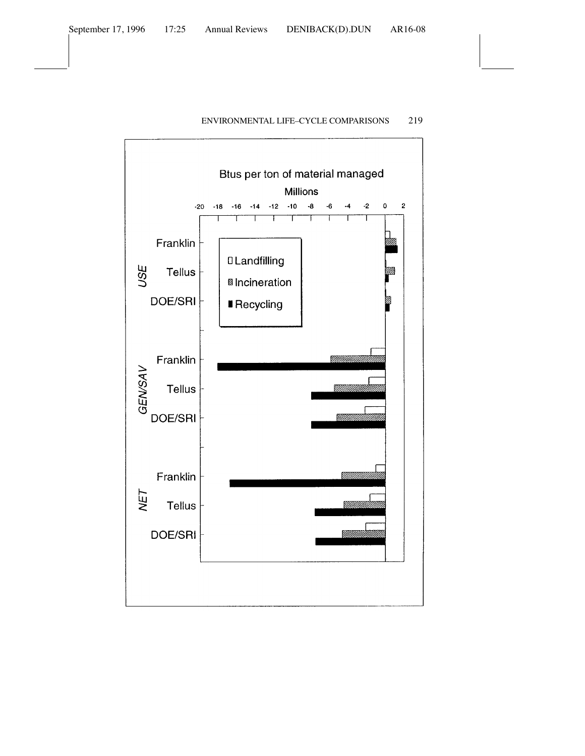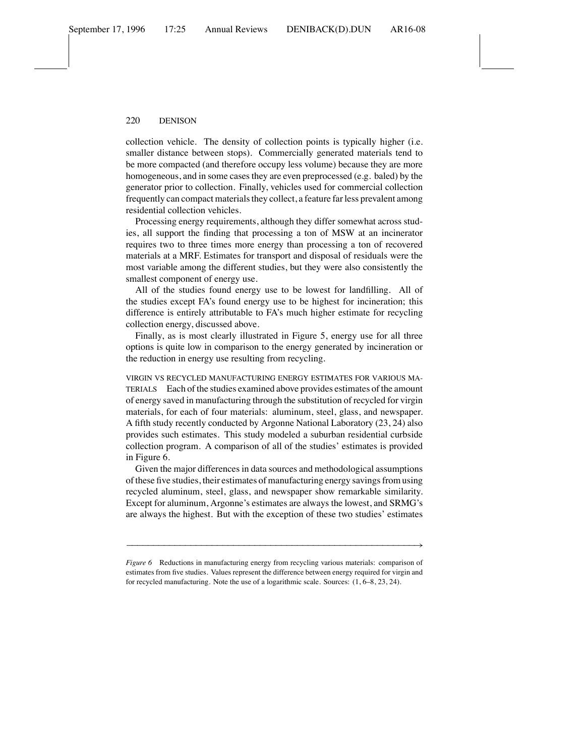collection vehicle. The density of collection points is typically higher (i.e. smaller distance between stops). Commercially generated materials tend to be more compacted (and therefore occupy less volume) because they are more homogeneous, and in some cases they are even preprocessed (e.g. baled) by the generator prior to collection. Finally, vehicles used for commercial collection frequently can compact materials they collect, a feature far less prevalent among residential collection vehicles.

Processing energy requirements, although they differ somewhat across studies, all support the finding that processing a ton of MSW at an incinerator requires two to three times more energy than processing a ton of recovered materials at a MRF. Estimates for transport and disposal of residuals were the most variable among the different studies, but they were also consistently the smallest component of energy use.

All of the studies found energy use to be lowest for landfilling. All of the studies except FA's found energy use to be highest for incineration; this difference is entirely attributable to FA's much higher estimate for recycling collection energy, discussed above.

Finally, as is most clearly illustrated in Figure 5, energy use for all three options is quite low in comparison to the energy generated by incineration or the reduction in energy use resulting from recycling.

VIRGIN VS RECYCLED MANUFACTURING ENERGY ESTIMATES FOR VARIOUS MA-TERIALS Each of the studies examined above provides estimates of the amount of energy saved in manufacturing through the substitution of recycled for virgin materials, for each of four materials: aluminum, steel, glass, and newspaper. A fifth study recently conducted by Argonne National Laboratory (23, 24) also provides such estimates. This study modeled a suburban residential curbside collection program. A comparison of all of the studies' estimates is provided in Figure 6.

Given the major differences in data sources and methodological assumptions of these five studies, their estimates of manufacturing energy savings from using recycled aluminum, steel, glass, and newspaper show remarkable similarity. Except for aluminum, Argonne's estimates are always the lowest, and SRMG's are always the highest. But with the exception of these two studies' estimates

*Figure 6* Reductions in manufacturing energy from recycling various materials: comparison of estimates from five studies. Values represent the difference between energy required for virgin and for recycled manufacturing. Note the use of a logarithmic scale. Sources: (1, 6–8, 23, 24).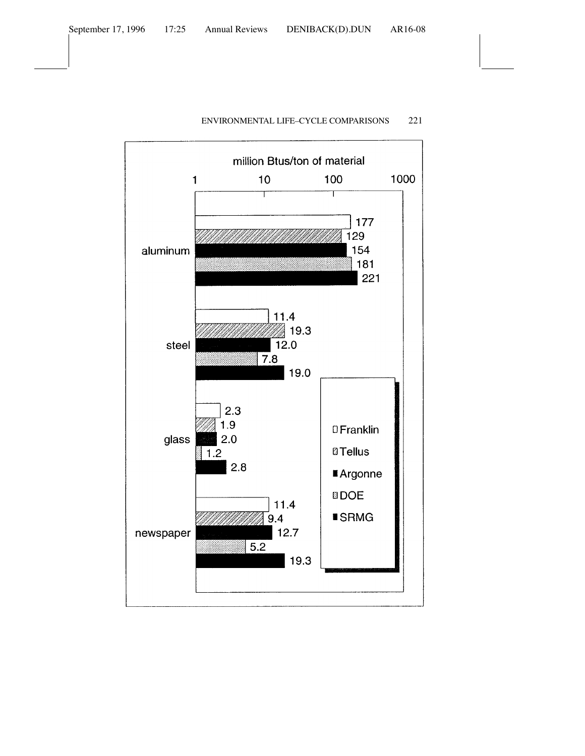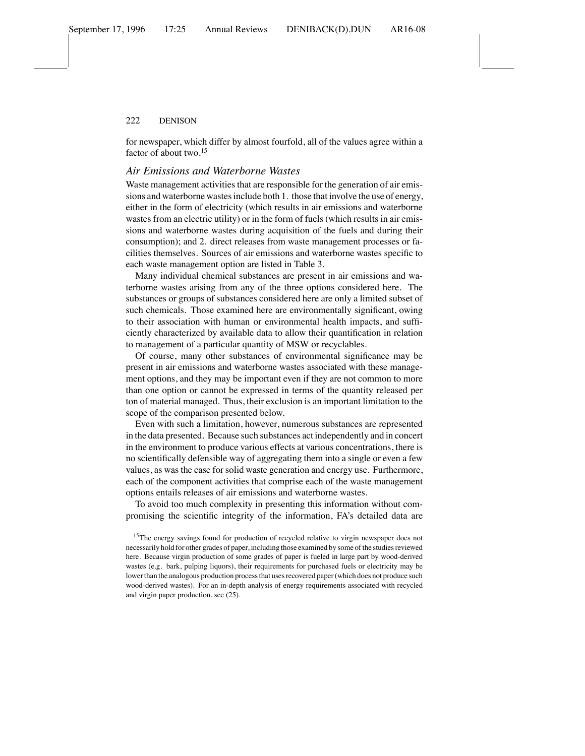for newspaper, which differ by almost fourfold, all of the values agree within a factor of about two.<sup>15</sup>

## *Air Emissions and Waterborne Wastes*

Waste management activities that are responsible for the generation of air emissions and waterborne wastes include both 1. those that involve the use of energy, either in the form of electricity (which results in air emissions and waterborne wastes from an electric utility) or in the form of fuels (which results in air emissions and waterborne wastes during acquisition of the fuels and during their consumption); and 2. direct releases from waste management processes or facilities themselves. Sources of air emissions and waterborne wastes specific to each waste management option are listed in Table 3.

Many individual chemical substances are present in air emissions and waterborne wastes arising from any of the three options considered here. The substances or groups of substances considered here are only a limited subset of such chemicals. Those examined here are environmentally significant, owing to their association with human or environmental health impacts, and sufficiently characterized by available data to allow their quantification in relation to management of a particular quantity of MSW or recyclables.

Of course, many other substances of environmental significance may be present in air emissions and waterborne wastes associated with these management options, and they may be important even if they are not common to more than one option or cannot be expressed in terms of the quantity released per ton of material managed. Thus, their exclusion is an important limitation to the scope of the comparison presented below.

Even with such a limitation, however, numerous substances are represented in the data presented. Because such substances act independently and in concert in the environment to produce various effects at various concentrations, there is no scientifically defensible way of aggregating them into a single or even a few values, as was the case for solid waste generation and energy use. Furthermore, each of the component activities that comprise each of the waste management options entails releases of air emissions and waterborne wastes.

To avoid too much complexity in presenting this information without compromising the scientific integrity of the information, FA's detailed data are

<sup>15</sup>The energy savings found for production of recycled relative to virgin newspaper does not necessarily hold for other grades of paper, including those examined by some of the studies reviewed here. Because virgin production of some grades of paper is fueled in large part by wood-derived wastes (e.g. bark, pulping liquors), their requirements for purchased fuels or electricity may be lower than the analogous production process that uses recovered paper (which does not produce such wood-derived wastes). For an in-depth analysis of energy requirements associated with recycled and virgin paper production, see (25).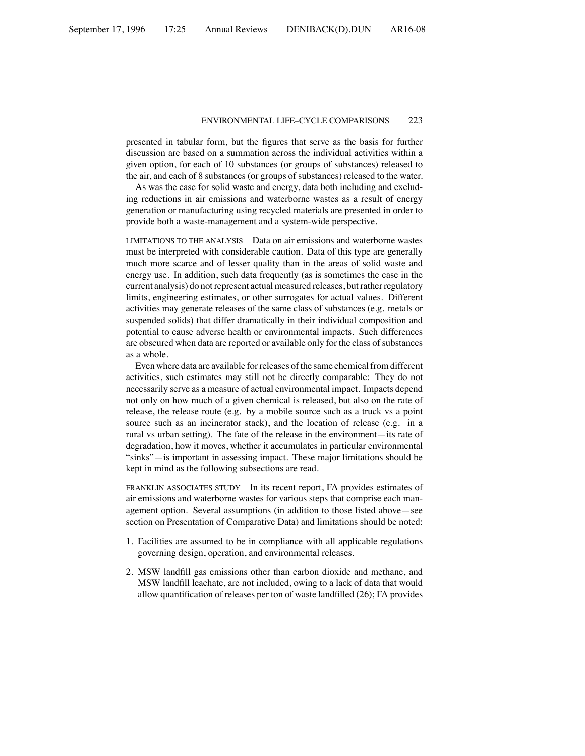presented in tabular form, but the figures that serve as the basis for further discussion are based on a summation across the individual activities within a given option, for each of 10 substances (or groups of substances) released to the air, and each of 8 substances (or groups of substances) released to the water.

As was the case for solid waste and energy, data both including and excluding reductions in air emissions and waterborne wastes as a result of energy generation or manufacturing using recycled materials are presented in order to provide both a waste-management and a system-wide perspective.

LIMITATIONS TO THE ANALYSIS Data on air emissions and waterborne wastes must be interpreted with considerable caution. Data of this type are generally much more scarce and of lesser quality than in the areas of solid waste and energy use. In addition, such data frequently (as is sometimes the case in the current analysis) do not represent actual measured releases, but rather regulatory limits, engineering estimates, or other surrogates for actual values. Different activities may generate releases of the same class of substances (e.g. metals or suspended solids) that differ dramatically in their individual composition and potential to cause adverse health or environmental impacts. Such differences are obscured when data are reported or available only for the class of substances as a whole.

Even where data are available for releases of the same chemical from different activities, such estimates may still not be directly comparable: They do not necessarily serve as a measure of actual environmental impact. Impacts depend not only on how much of a given chemical is released, but also on the rate of release, the release route (e.g. by a mobile source such as a truck vs a point source such as an incinerator stack), and the location of release (e.g. in a rural vs urban setting). The fate of the release in the environment—its rate of degradation, how it moves, whether it accumulates in particular environmental "sinks"—is important in assessing impact. These major limitations should be kept in mind as the following subsections are read.

FRANKLIN ASSOCIATES STUDY In its recent report, FA provides estimates of air emissions and waterborne wastes for various steps that comprise each management option. Several assumptions (in addition to those listed above—see section on Presentation of Comparative Data) and limitations should be noted:

- 1. Facilities are assumed to be in compliance with all applicable regulations governing design, operation, and environmental releases.
- 2. MSW landfill gas emissions other than carbon dioxide and methane, and MSW landfill leachate, are not included, owing to a lack of data that would allow quantification of releases per ton of waste landfilled (26); FA provides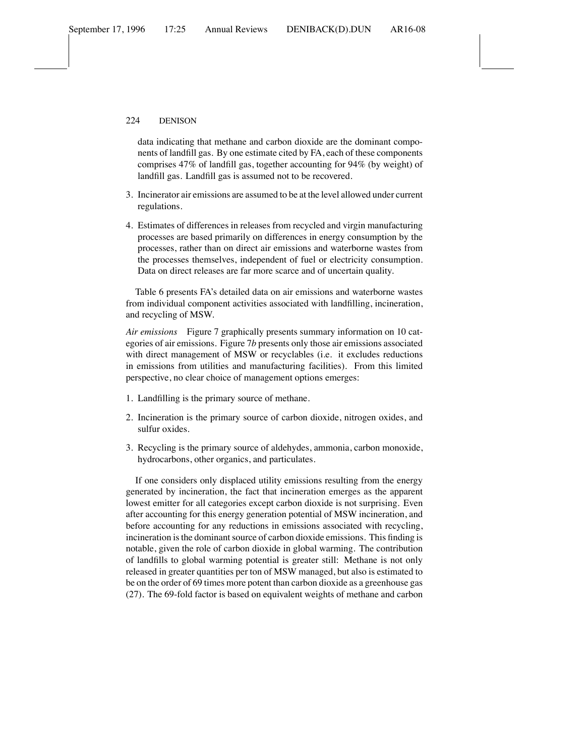data indicating that methane and carbon dioxide are the dominant components of landfill gas. By one estimate cited by FA, each of these components comprises 47% of landfill gas, together accounting for 94% (by weight) of landfill gas. Landfill gas is assumed not to be recovered.

- 3. Incinerator air emissions are assumed to be at the level allowed under current regulations.
- 4. Estimates of differences in releases from recycled and virgin manufacturing processes are based primarily on differences in energy consumption by the processes, rather than on direct air emissions and waterborne wastes from the processes themselves, independent of fuel or electricity consumption. Data on direct releases are far more scarce and of uncertain quality.

Table 6 presents FA's detailed data on air emissions and waterborne wastes from individual component activities associated with landfilling, incineration, and recycling of MSW.

*Air emissions* Figure 7 graphically presents summary information on 10 categories of air emissions. Figure 7*b* presents only those air emissions associated with direct management of MSW or recyclables (i.e. it excludes reductions in emissions from utilities and manufacturing facilities). From this limited perspective, no clear choice of management options emerges:

- 1. Landfilling is the primary source of methane.
- 2. Incineration is the primary source of carbon dioxide, nitrogen oxides, and sulfur oxides.
- 3. Recycling is the primary source of aldehydes, ammonia, carbon monoxide, hydrocarbons, other organics, and particulates.

If one considers only displaced utility emissions resulting from the energy generated by incineration, the fact that incineration emerges as the apparent lowest emitter for all categories except carbon dioxide is not surprising. Even after accounting for this energy generation potential of MSW incineration, and before accounting for any reductions in emissions associated with recycling, incineration is the dominant source of carbon dioxide emissions. This finding is notable, given the role of carbon dioxide in global warming. The contribution of landfills to global warming potential is greater still: Methane is not only released in greater quantities per ton of MSW managed, but also is estimated to be on the order of 69 times more potent than carbon dioxide as a greenhouse gas (27). The 69-fold factor is based on equivalent weights of methane and carbon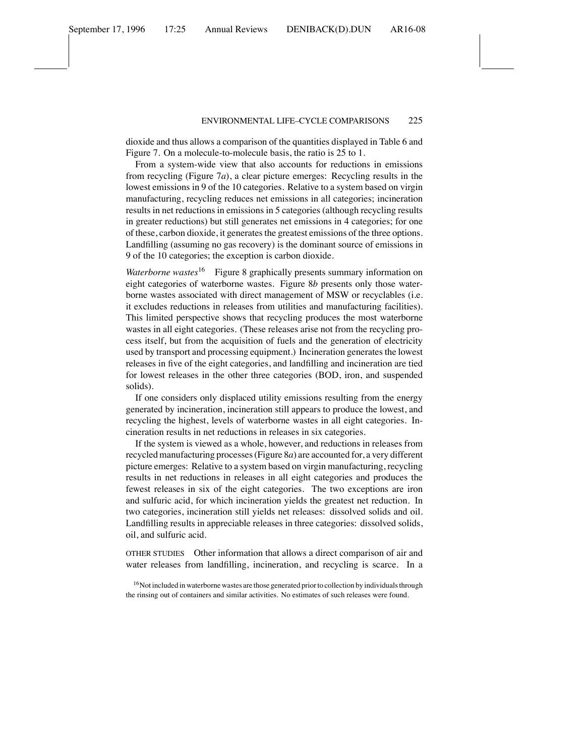dioxide and thus allows a comparison of the quantities displayed in Table 6 and Figure 7. On a molecule-to-molecule basis, the ratio is 25 to 1.

From a system-wide view that also accounts for reductions in emissions from recycling (Figure 7*a*), a clear picture emerges: Recycling results in the lowest emissions in 9 of the 10 categories. Relative to a system based on virgin manufacturing, recycling reduces net emissions in all categories; incineration results in net reductions in emissions in 5 categories (although recycling results in greater reductions) but still generates net emissions in 4 categories; for one of these, carbon dioxide, it generates the greatest emissions of the three options. Landfilling (assuming no gas recovery) is the dominant source of emissions in 9 of the 10 categories; the exception is carbon dioxide.

*Waterborne wastes*<sup>16</sup> Figure 8 graphically presents summary information on eight categories of waterborne wastes. Figure 8*b* presents only those waterborne wastes associated with direct management of MSW or recyclables (i.e. it excludes reductions in releases from utilities and manufacturing facilities). This limited perspective shows that recycling produces the most waterborne wastes in all eight categories. (These releases arise not from the recycling process itself, but from the acquisition of fuels and the generation of electricity used by transport and processing equipment.) Incineration generates the lowest releases in five of the eight categories, and landfilling and incineration are tied for lowest releases in the other three categories (BOD, iron, and suspended solids).

If one considers only displaced utility emissions resulting from the energy generated by incineration, incineration still appears to produce the lowest, and recycling the highest, levels of waterborne wastes in all eight categories. Incineration results in net reductions in releases in six categories.

If the system is viewed as a whole, however, and reductions in releases from recycled manufacturing processes (Figure 8*a*) are accounted for, a very different picture emerges: Relative to a system based on virgin manufacturing, recycling results in net reductions in releases in all eight categories and produces the fewest releases in six of the eight categories. The two exceptions are iron and sulfuric acid, for which incineration yields the greatest net reduction. In two categories, incineration still yields net releases: dissolved solids and oil. Landfilling results in appreciable releases in three categories: dissolved solids, oil, and sulfuric acid.

OTHER STUDIES Other information that allows a direct comparison of air and water releases from landfilling, incineration, and recycling is scarce. In a

<sup>16</sup>Not included in waterborne wastes are those generated prior to collection by individuals through the rinsing out of containers and similar activities. No estimates of such releases were found.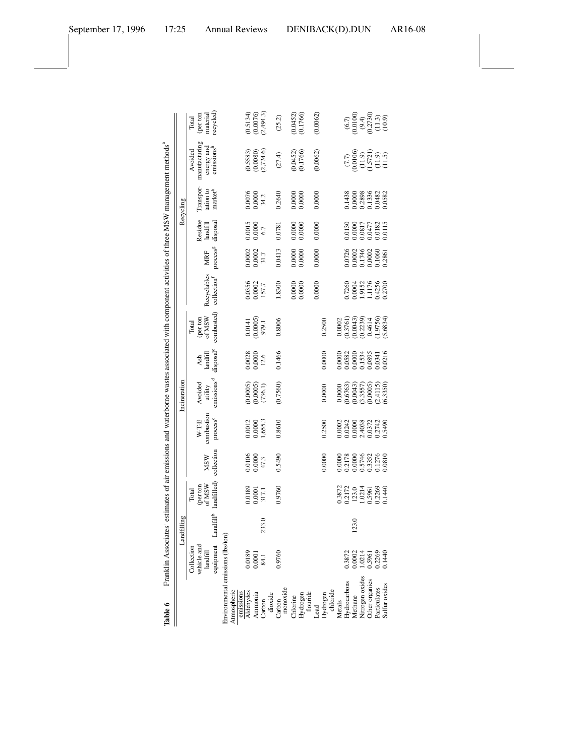| l'able 6                                                                     |                                                         |             |                                                          |                                                          |                                                     |                                                                                                                                    |                                                                                                   |                                                                                                                 |                                                          |                                                          |                                                        |                                                | Franklin Associates' estimates of air emissions and waterborne wastes associated with component activities of three MSW management methods                                                                                                                                                         |                                                                                                     |
|------------------------------------------------------------------------------|---------------------------------------------------------|-------------|----------------------------------------------------------|----------------------------------------------------------|-----------------------------------------------------|------------------------------------------------------------------------------------------------------------------------------------|---------------------------------------------------------------------------------------------------|-----------------------------------------------------------------------------------------------------------------|----------------------------------------------------------|----------------------------------------------------------|--------------------------------------------------------|------------------------------------------------|----------------------------------------------------------------------------------------------------------------------------------------------------------------------------------------------------------------------------------------------------------------------------------------------------|-----------------------------------------------------------------------------------------------------|
|                                                                              |                                                         | Landfilling |                                                          |                                                          |                                                     | Incineration                                                                                                                       |                                                                                                   |                                                                                                                 |                                                          |                                                          |                                                        | Recycling                                      |                                                                                                                                                                                                                                                                                                    |                                                                                                     |
|                                                                              | vehicle and<br>Collection                               |             | (per ton<br>Total                                        |                                                          | $W-T-E$                                             |                                                                                                                                    | Ash                                                                                               | (per ton<br>of $\ensuremath{\mathsf{MSW}}$<br>Total                                                             |                                                          |                                                          | Residue                                                | Transpor-                                      | manufacturing<br>Avoided                                                                                                                                                                                                                                                                           | (per ton<br>Total                                                                                   |
|                                                                              | equipment<br>landfill                                   | Landfillb   | landfilled)<br>of MSW                                    | collection<br><b>MSW</b>                                 | combustion<br>$processc$                            | Avoided<br>utility<br>emissions <sup>d</sup>                                                                                       | disposal <sup>e</sup><br>landfill                                                                 | combusted)                                                                                                      | Recyclables<br>collection                                | process <sup>g</sup><br><b>MRF</b>                       | disposal<br>landfill                                   | tation to<br>market <sup>h</sup>               | energy and<br>emissions <sup>h</sup>                                                                                                                                                                                                                                                               | material<br>recycled)                                                                               |
| Environmental emissions (lbs/ton)<br>Atmospheric                             |                                                         |             |                                                          |                                                          |                                                     |                                                                                                                                    |                                                                                                   |                                                                                                                 |                                                          |                                                          |                                                        |                                                |                                                                                                                                                                                                                                                                                                    |                                                                                                     |
|                                                                              |                                                         |             |                                                          |                                                          |                                                     |                                                                                                                                    |                                                                                                   |                                                                                                                 |                                                          |                                                          |                                                        |                                                |                                                                                                                                                                                                                                                                                                    |                                                                                                     |
|                                                                              | $\begin{array}{c} 0.0189 \\ 0.0001 \\ 84.1 \end{array}$ | 233.0       | $\begin{array}{c} 0.0189 \\ 0.0001 \\ 317.1 \end{array}$ | $0.0106$<br>0.0000<br>47.3                               | 0.0012<br>0.0000<br>1,655.3                         | $\begin{array}{c} (0.0005) \\ (736.1) \end{array}$                                                                                 | $\begin{array}{c} 0.0028 \\ 0.0000 \\ 12.6 \end{array}$                                           | $\begin{array}{c} 0.0141 \\ (0.0005) \\ 979.1 \end{array}$                                                      | 0.0356<br>0.0002<br>157.7                                | $\begin{array}{c} 0.0002 \\ 0.0002 \\ 31.7 \end{array}$  | $\begin{array}{c} 0.0015 \\ 0.0000 \\ 6.7 \end{array}$ | 0.0076<br>0.0000<br>34.2                       | $\begin{array}{c} (0.5583) \\ (0.0080) \\ (2.724.6) \end{array}$                                                                                                                                                                                                                                   | $(0.5134)$<br>$(0.0076)$<br>$(2,494.3)$                                                             |
|                                                                              |                                                         |             |                                                          |                                                          |                                                     |                                                                                                                                    |                                                                                                   |                                                                                                                 |                                                          |                                                          |                                                        |                                                |                                                                                                                                                                                                                                                                                                    |                                                                                                     |
| emissions<br>Aldehydes<br>Amnonia<br>Carbon<br>dioxide<br>Carbon<br>Carbon   | 0.9760                                                  |             | 0.9760                                                   | 0.5490                                                   | 0.8610                                              | (0.7560)                                                                                                                           | 0.1466                                                                                            | 0.8006                                                                                                          | 1.8300                                                   | 0.0413                                                   | 0.0781                                                 | 0.2640                                         | (27.4)                                                                                                                                                                                                                                                                                             | (25.2)                                                                                              |
| Chlorine                                                                     |                                                         |             |                                                          |                                                          |                                                     |                                                                                                                                    |                                                                                                   |                                                                                                                 | 0.0000                                                   | 0.0000                                                   | 0.0000                                                 | 0.0000                                         | $(0.0452)$<br>$(0.1766)$                                                                                                                                                                                                                                                                           | $(0.0452)$<br>$(0.1766)$                                                                            |
| Hydrogen<br>flouride                                                         |                                                         |             |                                                          |                                                          |                                                     |                                                                                                                                    |                                                                                                   |                                                                                                                 | 0.0000                                                   |                                                          |                                                        |                                                |                                                                                                                                                                                                                                                                                                    |                                                                                                     |
| Lead                                                                         |                                                         |             |                                                          |                                                          |                                                     |                                                                                                                                    |                                                                                                   |                                                                                                                 | 0.0000                                                   | 0.0000                                                   | 0.0000                                                 | 0.0000                                         | (0.0062)                                                                                                                                                                                                                                                                                           | (0.0062)                                                                                            |
| Hydrogen<br>chloride<br>Metals                                               |                                                         |             |                                                          | 0.0000                                                   | 0.2500                                              | 0.0000                                                                                                                             | 0.0000                                                                                            | 0.2500                                                                                                          |                                                          |                                                          |                                                        |                                                |                                                                                                                                                                                                                                                                                                    |                                                                                                     |
|                                                                              |                                                         |             |                                                          |                                                          |                                                     |                                                                                                                                    |                                                                                                   |                                                                                                                 |                                                          |                                                          |                                                        |                                                |                                                                                                                                                                                                                                                                                                    |                                                                                                     |
|                                                                              |                                                         |             |                                                          |                                                          |                                                     |                                                                                                                                    |                                                                                                   |                                                                                                                 |                                                          |                                                          |                                                        |                                                |                                                                                                                                                                                                                                                                                                    |                                                                                                     |
| Hydrocarbons<br>Methane<br>Nitrogen oxides<br>Other organics<br>Particulates |                                                         | 123.0       |                                                          |                                                          |                                                     |                                                                                                                                    |                                                                                                   |                                                                                                                 |                                                          |                                                          |                                                        |                                                |                                                                                                                                                                                                                                                                                                    |                                                                                                     |
|                                                                              |                                                         |             |                                                          |                                                          |                                                     |                                                                                                                                    |                                                                                                   |                                                                                                                 |                                                          |                                                          |                                                        |                                                |                                                                                                                                                                                                                                                                                                    |                                                                                                     |
|                                                                              |                                                         |             |                                                          |                                                          |                                                     |                                                                                                                                    |                                                                                                   |                                                                                                                 |                                                          |                                                          |                                                        |                                                |                                                                                                                                                                                                                                                                                                    |                                                                                                     |
|                                                                              | 0.3872<br>0.0002<br>0.0214<br>0.5961<br>0.1440          |             | 03872<br>02172<br>123.0<br>102561<br>102560<br>002269    | 0.0000<br>0.2178<br>0.0000<br>0.3352<br>0.1276<br>0.0810 | 0.0002<br>0.024038<br>0.000372<br>0.02742<br>0.5490 | $\begin{array}{c} 0.0000\\ 0.6763)\\ 0.0043)\\ 0.0043)\\ 0.005)\\ 0.115)\\ 0.005)\\ 0.115)\\ 0.005)\\ 0.011\\ 0.3350) \end{array}$ | $\begin{array}{l} 0.0000 \\ 0.0582 \\ 0.0000 \\ 0.1534 \\ 0.0895 \\ 0.0341 \\ 0.0341 \end{array}$ | $\begin{array}{c} 0.0002 \\ 0.3761) \\ 0.0043) \\ 0.0239) \\ 0.4614 \\ 0.4614 \\ 0.0756) \\ 0.034) \end{array}$ | 0.7260<br>0.0004<br>1.9152<br>1.1176<br>0.4256<br>0.2700 | 0.0726<br>0.0002<br>0.1746<br>0.0002<br>0.1060<br>0.2861 | 0.0130<br>0.0000<br>0.0477<br>0.0182<br>0.0115         | 0.1438<br>0.0000<br>0.2898<br>0.1336<br>0.0582 | $\begin{array}{c} (7.7)\\ (0.0106)\\ (0.113)\\ (1.5721)\\ (1.5711)\\ (1.59)\\ (1.59)\\ (1.59)\\ (1.59)\\ (1.59)\\ (1.59)\\ (1.59)\\ (1.59)\\ (1.59)\\ (1.59)\\ (1.59)\\ (1.59)\\ (1.59)\\ (1.59)\\ (1.59)\\ (1.59)\\ (1.59)\\ (1.59)\\ (1.59)\\ (1.59)\\ (1.59)\\ (1.59)\\ (1.59)\\ (1.59)\\ (1.5$ | $\begin{array}{c} (6.7) \\ (0.0100) \\ (0.4) \\ (0.2730) \\ (11.3) \\ (10.9) \\ (10.9) \end{array}$ |
| Sulfur oxides                                                                |                                                         |             |                                                          |                                                          |                                                     |                                                                                                                                    |                                                                                                   |                                                                                                                 |                                                          |                                                          |                                                        |                                                |                                                                                                                                                                                                                                                                                                    |                                                                                                     |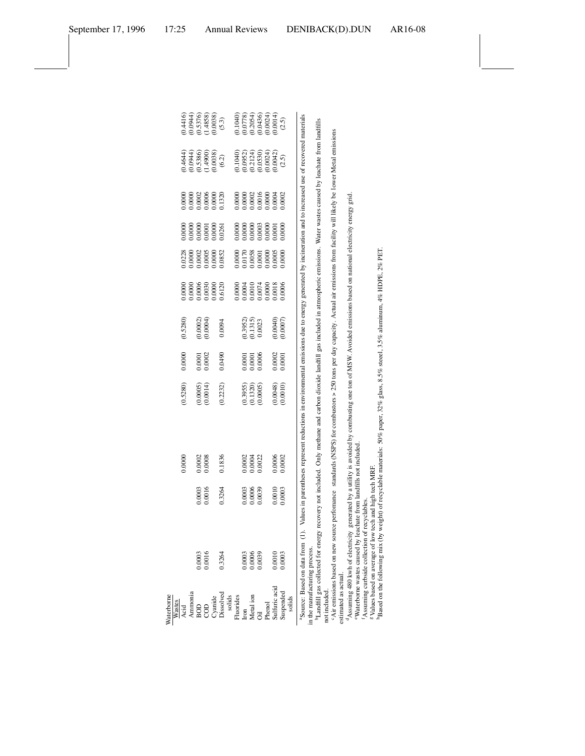| Waterborne                                             |                                                                  |                            |                                                                                                                                                                                    |                          |        |                                                   |        |        |        |        |                                                                             |                                        |
|--------------------------------------------------------|------------------------------------------------------------------|----------------------------|------------------------------------------------------------------------------------------------------------------------------------------------------------------------------------|--------------------------|--------|---------------------------------------------------|--------|--------|--------|--------|-----------------------------------------------------------------------------|----------------------------------------|
|                                                        |                                                                  |                            |                                                                                                                                                                                    |                          |        |                                                   |        |        |        |        |                                                                             |                                        |
| Wastes<br>Acid                                         |                                                                  |                            | 0.0000                                                                                                                                                                             | (0.5280)                 | 0.0000 | (0.5280)                                          | 0.0000 | 0.0228 | 0.0000 | 0.0000 | (0.4644)                                                                    | (0.4416)                               |
|                                                        |                                                                  |                            |                                                                                                                                                                                    |                          |        |                                                   | 0.0000 | 0.0000 | 0.0000 | 0.0000 | $(0.0944)$<br>$(0.5386)$                                                    | $(0.0944)$<br>$(0.5376)$               |
|                                                        | 0.0003                                                           | 0.0003                     | 0.0002                                                                                                                                                                             |                          | 0.0001 |                                                   |        | 0.0002 |        | 0.0002 |                                                                             |                                        |
|                                                        | 0.0016                                                           | 0.0016                     | 0.0008                                                                                                                                                                             | $(0.0005)$<br>$(0.0014)$ | 0.0002 | $(0.0002)$<br>$(0.0004)$                          | 0.0006 | 0.0005 | 0.0001 | 0.0006 | (1.4900)                                                                    | (1.4858)                               |
| Ammonia<br>BOD<br>COD<br>Cyanide<br>Dissolved          |                                                                  |                            |                                                                                                                                                                                    |                          |        |                                                   | 0.0000 | 0.000  | 0.0000 | 0.0000 | (0.0038)                                                                    | (0.0038)                               |
|                                                        | 0.3264                                                           | 0.3264                     | 0.1836                                                                                                                                                                             | (0.2232)                 | 0.0490 | 0.0094                                            | 0.6120 | 0.0852 | 0.0261 | 0.1320 | (6.2)                                                                       | (5.3)                                  |
|                                                        |                                                                  |                            |                                                                                                                                                                                    |                          |        |                                                   |        |        |        |        |                                                                             |                                        |
| solids<br>Fluorides                                    |                                                                  |                            |                                                                                                                                                                                    |                          |        |                                                   | 0.0000 | 0.0000 | 0.0000 | 0.0000 |                                                                             | (0.1040)                               |
| $\Gamma$ on                                            | 0.0003                                                           | 0.0003                     | 0.0002                                                                                                                                                                             | (0.3955)                 | 0.0001 | (0.3952)                                          | 0.0004 | 0.0170 | 0.0000 | 0.000  | $(0.1040)$<br>$(0.0952)$                                                    | (0.0778)                               |
|                                                        |                                                                  | 0.0006                     | 0.0004                                                                                                                                                                             |                          | 0.0001 |                                                   | 0.0010 | 0.0058 | 0.0000 | 0.0002 |                                                                             |                                        |
| Metal ion<br>Oil                                       | 0.0006                                                           | 0.0039                     | 0.0022                                                                                                                                                                             | $(0.1320)$<br>$(0.0005)$ | 0.0006 | $\begin{array}{c} (0.1315) \\ 0.0023 \end{array}$ | 0.0074 | 0.0001 | 0.0003 | 0.0016 |                                                                             |                                        |
| Phenol                                                 |                                                                  |                            |                                                                                                                                                                                    |                          |        |                                                   | 0.0000 | 0.0000 | 0.0000 | 0.0000 | $\begin{array}{c} (0.2124) \\ (0.0530) \\ (0.0530) \\ (0.0024) \end{array}$ | $(0.2054)$<br>$(0.0436)$<br>$(0.0024)$ |
| Sulfuric acid                                          | $0.0010$<br>$0.0003$                                             | 0.0010                     | 0.0006                                                                                                                                                                             |                          | 0.0002 | (0.0040)                                          | 0.0018 | 0.0005 | 0.0001 | 0.0004 | (0.0042)                                                                    | (0.0014)                               |
| Suspended                                              |                                                                  | 0.0003                     | 0.0002                                                                                                                                                                             | $(0.0048)$<br>$(0.0010)$ | 0.0001 | (0.0007)                                          | 0.0006 | 0.0000 | 0.0000 | 0.0002 | (2.5)                                                                       | (2.5)                                  |
| solids                                                 |                                                                  |                            |                                                                                                                                                                                    |                          |        |                                                   |        |        |        |        |                                                                             |                                        |
| <sup>a</sup> Source: Based on data from                |                                                                  |                            | (1). Values in parentheses represent reductions in environmental emissions due to energy generated by incineration and to increased use of recovered materials                     |                          |        |                                                   |        |        |        |        |                                                                             |                                        |
| n the manufacturing process.                           |                                                                  |                            |                                                                                                                                                                                    |                          |        |                                                   |        |        |        |        |                                                                             |                                        |
| $\rm ^bL and fill$ gas collected for energot included. |                                                                  |                            | rgy recovery not included. Only methane and carbon dioxide landfill gas included in atmospheric emissions. Water wastes caused by leachate from landfills                          |                          |        |                                                   |        |        |        |        |                                                                             |                                        |
|                                                        |                                                                  |                            |                                                                                                                                                                                    |                          |        |                                                   |        |        |        |        |                                                                             |                                        |
|                                                        |                                                                  |                            | "Air emissions based on new source perfomance standards (NSPS) for combustors > 250 tons per day capacity. Actual air emissions from facility will likely be lower Metal emissions |                          |        |                                                   |        |        |        |        |                                                                             |                                        |
| estimated as actual.                                   |                                                                  |                            |                                                                                                                                                                                    |                          |        |                                                   |        |        |        |        |                                                                             |                                        |
|                                                        |                                                                  |                            | <sup>4</sup> Assuming 480 kwh of electricity generated by a utility is avoided by combusting one ton of MSW. Avoided emissions based on national electricity energy grid.          |                          |        |                                                   |        |        |        |        |                                                                             |                                        |
|                                                        | Waterborne wastes caused by leachate from landfills not included |                            |                                                                                                                                                                                    |                          |        |                                                   |        |        |        |        |                                                                             |                                        |
|                                                        | Assuming curbside collection of recyclables                      |                            |                                                                                                                                                                                    |                          |        |                                                   |        |        |        |        |                                                                             |                                        |
| <sup>3</sup> Values based on average of l              |                                                                  | ow tech and high tech MRF. |                                                                                                                                                                                    |                          |        |                                                   |        |        |        |        |                                                                             |                                        |
|                                                        | Based on the following mix (                                     |                            | by weight) of recyclable materials: 50% paper, 32% glass, 8.5% steeel, 3.5% aluminum, 4% HDPE, 2% PET                                                                              |                          |        |                                                   |        |        |        |        |                                                                             |                                        |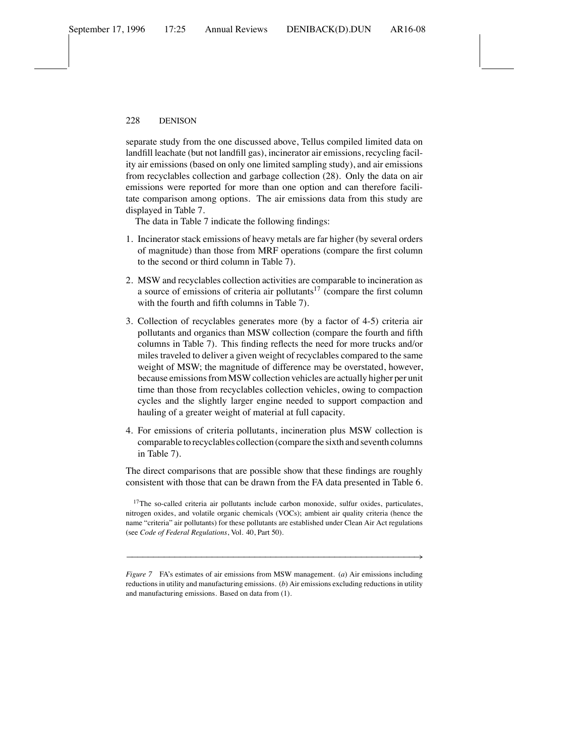separate study from the one discussed above, Tellus compiled limited data on landfill leachate (but not landfill gas), incinerator air emissions, recycling facility air emissions (based on only one limited sampling study), and air emissions from recyclables collection and garbage collection (28). Only the data on air emissions were reported for more than one option and can therefore facilitate comparison among options. The air emissions data from this study are displayed in Table 7.

The data in Table 7 indicate the following findings:

- 1. Incinerator stack emissions of heavy metals are far higher (by several orders of magnitude) than those from MRF operations (compare the first column to the second or third column in Table 7).
- 2. MSW and recyclables collection activities are comparable to incineration as a source of emissions of criteria air pollutants<sup>17</sup> (compare the first column with the fourth and fifth columns in Table 7).
- 3. Collection of recyclables generates more (by a factor of 4-5) criteria air pollutants and organics than MSW collection (compare the fourth and fifth columns in Table 7). This finding reflects the need for more trucks and/or miles traveled to deliver a given weight of recyclables compared to the same weight of MSW; the magnitude of difference may be overstated, however, because emissions from MSW collection vehicles are actually higher per unit time than those from recyclables collection vehicles, owing to compaction cycles and the slightly larger engine needed to support compaction and hauling of a greater weight of material at full capacity.
- 4. For emissions of criteria pollutants, incineration plus MSW collection is comparable to recyclables collection (compare the sixth and seventh columns in Table 7).

The direct comparisons that are possible show that these findings are roughly consistent with those that can be drawn from the FA data presented in Table 6.

<sup>17</sup>The so-called criteria air pollutants include carbon monoxide, sulfur oxides, particulates, nitrogen oxides, and volatile organic chemicals (VOCs); ambient air quality criteria (hence the name "criteria" air pollutants) for these pollutants are established under Clean Air Act regulations (see *Code of Federal Regulations*, Vol. 40, Part 50).

*Figure 7* FA's estimates of air emissions from MSW management. (*a*) Air emissions including reductions in utility and manufacturing emissions. (*b*) Air emissions excluding reductions in utility and manufacturing emissions. Based on data from (1).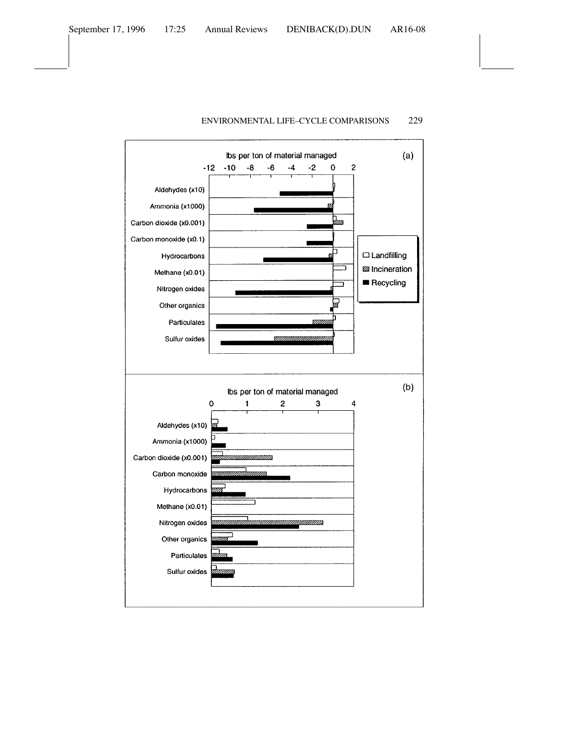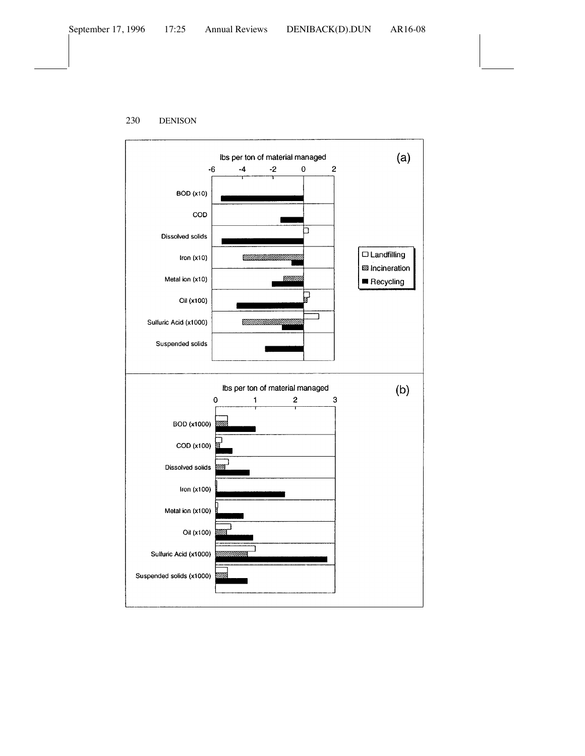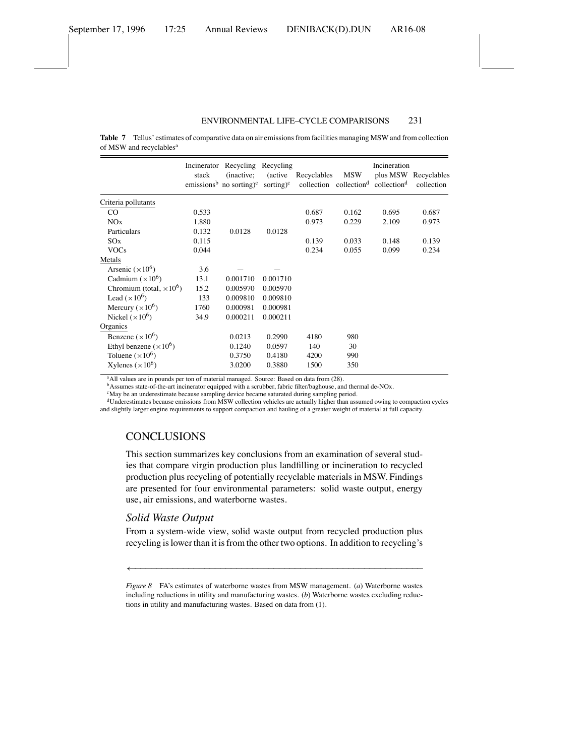|                                  | Incinerator<br>stack | Recycling Recycling<br>(inactive;<br>emissions <sup>b</sup> no sorting) <sup>c</sup> | (active)<br>sorting) $\rm^c$ | Recyclables | <b>MSW</b><br>collection collection <sup>d</sup> | Incineration<br>collection <sup>d</sup> | plus MSW Recyclables<br>collection |
|----------------------------------|----------------------|--------------------------------------------------------------------------------------|------------------------------|-------------|--------------------------------------------------|-----------------------------------------|------------------------------------|
| Criteria pollutants              |                      |                                                                                      |                              |             |                                                  |                                         |                                    |
| CO.                              | 0.533                |                                                                                      |                              | 0.687       | 0.162                                            | 0.695                                   | 0.687                              |
| NOx                              | 1.880                |                                                                                      |                              | 0.973       | 0.229                                            | 2.109                                   | 0.973                              |
| Particulars                      | 0.132                | 0.0128                                                                               | 0.0128                       |             |                                                  |                                         |                                    |
| SOX                              | 0.115                |                                                                                      |                              | 0.139       | 0.033                                            | 0.148                                   | 0.139                              |
| <b>VOCs</b>                      | 0.044                |                                                                                      |                              | 0.234       | 0.055                                            | 0.099                                   | 0.234                              |
| Metals                           |                      |                                                                                      |                              |             |                                                  |                                         |                                    |
| Arsenic $(\times 10^6)$          | 3.6                  |                                                                                      |                              |             |                                                  |                                         |                                    |
| Cadmium $(x10^6)$                | 13.1                 | 0.001710                                                                             | 0.001710                     |             |                                                  |                                         |                                    |
| Chromium (total, $\times 10^6$ ) | 15.2                 | 0.005970                                                                             | 0.005970                     |             |                                                  |                                         |                                    |
| Lead $(\times 10^6)$             | 133                  | 0.009810                                                                             | 0.009810                     |             |                                                  |                                         |                                    |
| Mercury $(\times 10^6)$          | 1760                 | 0.000981                                                                             | 0.000981                     |             |                                                  |                                         |                                    |
| Nickel $(x10^6)$                 | 34.9                 | 0.000211                                                                             | 0.000211                     |             |                                                  |                                         |                                    |
| Organics                         |                      |                                                                                      |                              |             |                                                  |                                         |                                    |
| Benzene $(\times 10^6)$          |                      | 0.0213                                                                               | 0.2990                       | 4180        | 980                                              |                                         |                                    |
| Ethyl benzene $(\times 10^6)$    |                      | 0.1240                                                                               | 0.0597                       | 140         | 30                                               |                                         |                                    |
| Toluene $(\times 10^6)$          |                      | 0.3750                                                                               | 0.4180                       | 4200        | 990                                              |                                         |                                    |
| Xylenes $(\times 10^6)$          |                      | 3.0200                                                                               | 0.3880                       | 1500        | 350                                              |                                         |                                    |

**Table 7** Tellus' estimates of comparative data on air emissions from facilities managing MSW and from collection of MSW and recyclables<sup>a</sup>

<sup>a</sup>All values are in pounds per ton of material managed. Source: Based on data from (28).

b Assumes state-of-the-art incinerator equipped with a scrubber, fabric filter/baghouse, and thermal de-NOx.

cMay be an underestimate because sampling device became saturated during sampling period.

 $d$ Underestimates because emissions from MSW collection vehicles are actually higher than assumed owing to compaction cycles and slightly larger engine requirements to support compaction and hauling of a greater weight of material at full capacity.

## **CONCLUSIONS**

This section summarizes key conclusions from an examination of several studies that compare virgin production plus landfilling or incineration to recycled production plus recycling of potentially recyclable materials in MSW. Findings are presented for four environmental parameters: solid waste output, energy use, air emissions, and waterborne wastes.

### *Solid Waste Output*

From a system-wide view, solid waste output from recycled production plus recycling is lower than it is from the other two options. In addition to recycling's

*Figure 8* FA's estimates of waterborne wastes from MSW management. (*a*) Waterborne wastes including reductions in utility and manufacturing wastes. (*b*) Waterborne wastes excluding reductions in utility and manufacturing wastes. Based on data from (1).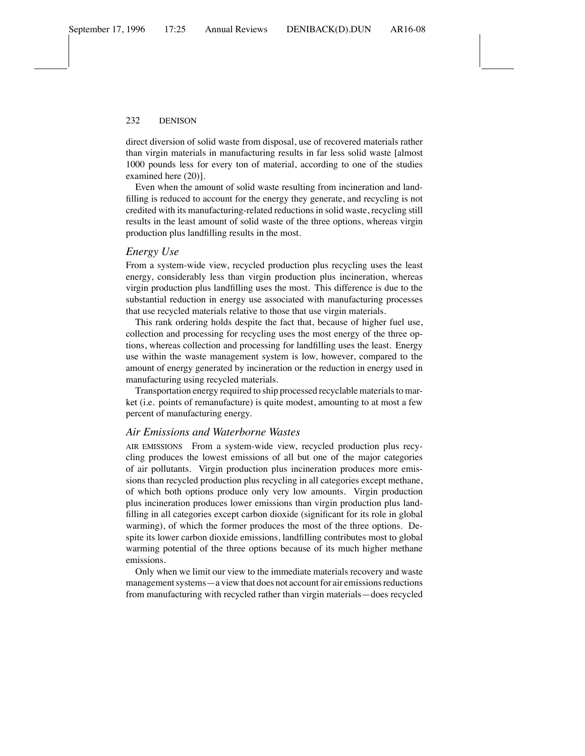direct diversion of solid waste from disposal, use of recovered materials rather than virgin materials in manufacturing results in far less solid waste [almost 1000 pounds less for every ton of material, according to one of the studies examined here (20)].

Even when the amount of solid waste resulting from incineration and landfilling is reduced to account for the energy they generate, and recycling is not credited with its manufacturing-related reductions in solid waste, recycling still results in the least amount of solid waste of the three options, whereas virgin production plus landfilling results in the most.

## *Energy Use*

From a system-wide view, recycled production plus recycling uses the least energy, considerably less than virgin production plus incineration, whereas virgin production plus landfilling uses the most. This difference is due to the substantial reduction in energy use associated with manufacturing processes that use recycled materials relative to those that use virgin materials.

This rank ordering holds despite the fact that, because of higher fuel use, collection and processing for recycling uses the most energy of the three options, whereas collection and processing for landfilling uses the least. Energy use within the waste management system is low, however, compared to the amount of energy generated by incineration or the reduction in energy used in manufacturing using recycled materials.

Transportation energy required to ship processed recyclable materials to market (i.e. points of remanufacture) is quite modest, amounting to at most a few percent of manufacturing energy.

## *Air Emissions and Waterborne Wastes*

AIR EMISSIONS From a system-wide view, recycled production plus recycling produces the lowest emissions of all but one of the major categories of air pollutants. Virgin production plus incineration produces more emissions than recycled production plus recycling in all categories except methane, of which both options produce only very low amounts. Virgin production plus incineration produces lower emissions than virgin production plus landfilling in all categories except carbon dioxide (significant for its role in global warming), of which the former produces the most of the three options. Despite its lower carbon dioxide emissions, landfilling contributes most to global warming potential of the three options because of its much higher methane emissions.

Only when we limit our view to the immediate materials recovery and waste management systems—a view that does not account for air emissions reductions from manufacturing with recycled rather than virgin materials—does recycled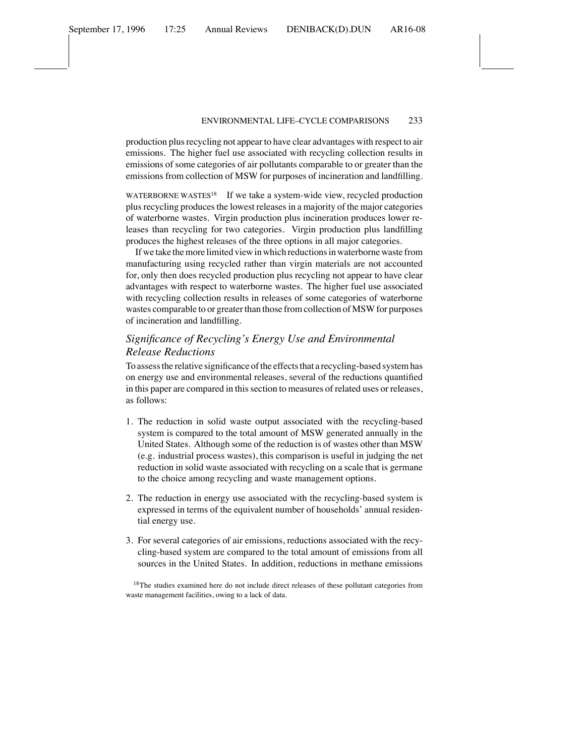production plus recycling not appear to have clear advantages with respect to air emissions. The higher fuel use associated with recycling collection results in emissions of some categories of air pollutants comparable to or greater than the emissions from collection of MSW for purposes of incineration and landfilling.

WATERBORNE WASTES<sup>18</sup> If we take a system-wide view, recycled production plus recycling produces the lowest releases in a majority of the major categories of waterborne wastes. Virgin production plus incineration produces lower releases than recycling for two categories. Virgin production plus landfilling produces the highest releases of the three options in all major categories.

If we take the more limited view in which reductions in waterborne waste from manufacturing using recycled rather than virgin materials are not accounted for, only then does recycled production plus recycling not appear to have clear advantages with respect to waterborne wastes. The higher fuel use associated with recycling collection results in releases of some categories of waterborne wastes comparable to or greater than those from collection of MSW for purposes of incineration and landfilling.

## *Significance of Recycling's Energy Use and Environmental Release Reductions*

To assess the relative significance of the effects that a recycling-based system has on energy use and environmental releases, several of the reductions quantified in this paper are compared in this section to measures of related uses or releases, as follows:

- 1. The reduction in solid waste output associated with the recycling-based system is compared to the total amount of MSW generated annually in the United States. Although some of the reduction is of wastes other than MSW (e.g. industrial process wastes), this comparison is useful in judging the net reduction in solid waste associated with recycling on a scale that is germane to the choice among recycling and waste management options.
- 2. The reduction in energy use associated with the recycling-based system is expressed in terms of the equivalent number of households' annual residential energy use.
- 3. For several categories of air emissions, reductions associated with the recycling-based system are compared to the total amount of emissions from all sources in the United States. In addition, reductions in methane emissions

<sup>18</sup>The studies examined here do not include direct releases of these pollutant categories from waste management facilities, owing to a lack of data.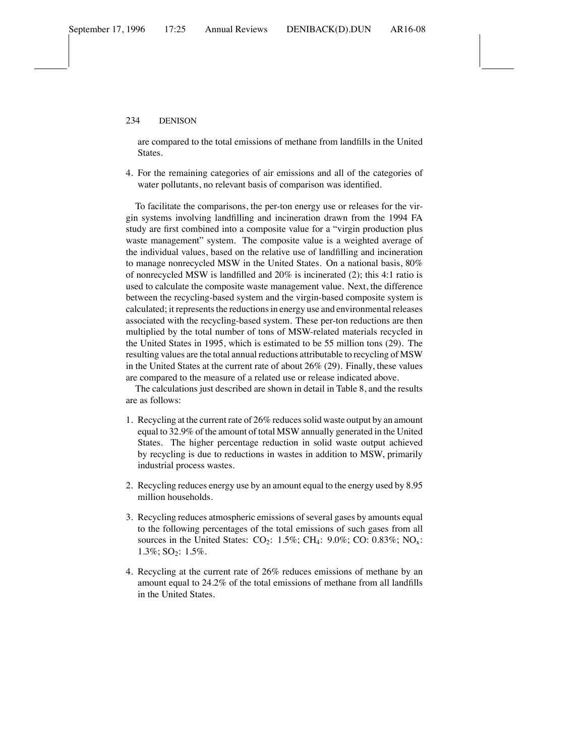are compared to the total emissions of methane from landfills in the United **States**.

4. For the remaining categories of air emissions and all of the categories of water pollutants, no relevant basis of comparison was identified.

To facilitate the comparisons, the per-ton energy use or releases for the virgin systems involving landfilling and incineration drawn from the 1994 FA study are first combined into a composite value for a "virgin production plus waste management" system. The composite value is a weighted average of the individual values, based on the relative use of landfilling and incineration to manage nonrecycled MSW in the United States. On a national basis, 80% of nonrecycled MSW is landfilled and 20% is incinerated (2); this 4:1 ratio is used to calculate the composite waste management value. Next, the difference between the recycling-based system and the virgin-based composite system is calculated; it represents the reductions in energy use and environmental releases associated with the recycling-based system. These per-ton reductions are then multiplied by the total number of tons of MSW-related materials recycled in the United States in 1995, which is estimated to be 55 million tons (29). The resulting values are the total annual reductions attributable to recycling of MSW in the United States at the current rate of about 26% (29). Finally, these values are compared to the measure of a related use or release indicated above.

The calculations just described are shown in detail in Table 8, and the results are as follows:

- 1. Recycling at the current rate of 26% reduces solid waste output by an amount equal to 32.9% of the amount of total MSW annually generated in the United States. The higher percentage reduction in solid waste output achieved by recycling is due to reductions in wastes in addition to MSW, primarily industrial process wastes.
- 2. Recycling reduces energy use by an amount equal to the energy used by 8.95 million households.
- 3. Recycling reduces atmospheric emissions of several gases by amounts equal to the following percentages of the total emissions of such gases from all sources in the United States:  $CO<sub>2</sub>: 1.5\%$ ; CH<sub>4</sub>:  $9.0\%$ ; CO:  $0.83\%$ ; NO<sub>x</sub>:  $1.3\%$ ; SO<sub>2</sub>:  $1.5\%$ .
- 4. Recycling at the current rate of 26% reduces emissions of methane by an amount equal to 24.2% of the total emissions of methane from all landfills in the United States.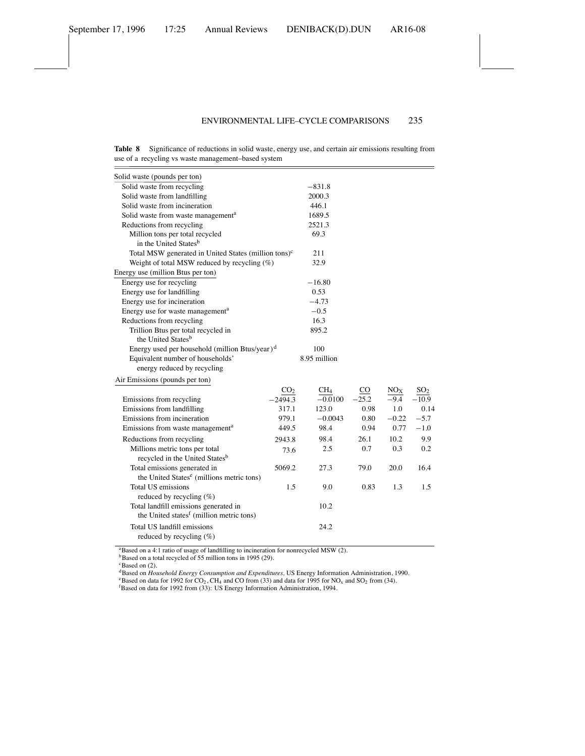| Solid waste (pounds per ton)                                          |                 |                 |             |                 |                 |
|-----------------------------------------------------------------------|-----------------|-----------------|-------------|-----------------|-----------------|
| Solid waste from recycling                                            |                 | $-831.8$        |             |                 |                 |
| Solid waste from landfilling                                          |                 | 2000.3          |             |                 |                 |
| Solid waste from incineration                                         |                 | 446.1           |             |                 |                 |
| Solid waste from waste management <sup>a</sup>                        |                 | 1689.5          |             |                 |                 |
| Reductions from recycling                                             |                 | 2521.3          |             |                 |                 |
| Million tons per total recycled                                       |                 | 69.3            |             |                 |                 |
| in the United States <sup>b</sup>                                     |                 |                 |             |                 |                 |
| Total MSW generated in United States (million tons) <sup>c</sup>      |                 | 211             |             |                 |                 |
| Weight of total MSW reduced by recycling (%)                          |                 | 32.9            |             |                 |                 |
| Energy use (million Btus per ton)                                     |                 |                 |             |                 |                 |
| Energy use for recycling                                              |                 | $-16.80$        |             |                 |                 |
| Energy use for landfilling                                            |                 | 0.53            |             |                 |                 |
| Energy use for incineration                                           |                 | $-4.73$         |             |                 |                 |
| Energy use for waste management <sup>a</sup>                          |                 | $-0.5$          |             |                 |                 |
| Reductions from recycling                                             |                 | 16.3            |             |                 |                 |
| Trillion Btus per total recycled in<br>the United States <sup>b</sup> |                 | 895.2           |             |                 |                 |
| Energy used per household (million Btus/year) <sup>d</sup>            |                 | 100             |             |                 |                 |
| Equivalent number of households'                                      |                 | 8.95 million    |             |                 |                 |
| energy reduced by recycling                                           |                 |                 |             |                 |                 |
| Air Emissions (pounds per ton)                                        |                 |                 |             |                 |                 |
|                                                                       | CO <sub>2</sub> | CH <sub>4</sub> | $_{\rm CO}$ | NO <sub>X</sub> | SO <sub>2</sub> |
| Emissions from recycling                                              | $-2494.3$       | $-0.0100$       | $-25.2$     | $-9.4$          | $-10.9$         |
| Emissions from landfilling                                            | 317.1           | 123.0           | 0.98        | 1.0             | 0.14            |
| Emissions from incineration                                           | 979.1           | $-0.0043$       | 0.80        | $-0.22$         | $-5.7$          |
| Emissions from waste management <sup>a</sup>                          | 449.5           | 98.4            | 0.94        | 0.77            | $-1.0$          |
| Reductions from recycling                                             | 2943.8          | 98.4            | 26.1        | 10.2            | 9.9             |
| Millions metric tons per total                                        | 73.6            | 2.5             | 0.7         | 0.3             | 0.2             |
| recycled in the United States <sup>b</sup>                            |                 |                 |             |                 |                 |
| Total emissions generated in                                          | 5069.2          | 27.3            | 79.0        | 20.0            | 16.4            |
| the United States <sup>e</sup> (millions metric tons)                 |                 |                 |             |                 |                 |
| Total US emissions                                                    | 1.5             | 9.0             | 0.83        | 1.3             | 1.5             |
| reduced by recycling $(\%)$                                           |                 |                 |             |                 |                 |
| Total landfill emissions generated in                                 |                 | 10.2            |             |                 |                 |
| the United states <sup>f</sup> (million metric tons)                  |                 |                 |             |                 |                 |
| Total US landfill emissions                                           |                 | 24.2            |             |                 |                 |
| reduced by recycling $(\%)$                                           |                 |                 |             |                 |                 |

**Table 8** Significance of reductions in solid waste, energy use, and certain air emissions resulting from use of a recycling vs waste management–based system

<sup>a</sup>Based on a 4:1 ratio of usage of landfilling to incineration for nonrecycled MSW (2).

 $b$ Based on a total recycled of 55 million tons in 1995 (29).

<sup>d</sup>Based on *Household Energy Consumption and Expenditures*, US Energy Information Administration, 1990.<br>
<sup>e</sup>Based on data for 1992 for CO<sub>2</sub>, CH<sub>4</sub> and CO from (33) and data for 1995 for NO<sub>x</sub> and SO<sub>2</sub> from (34).

Based on data for 1992 from (33): US Energy Information Administration, 1994.

 $c$ Based on (2).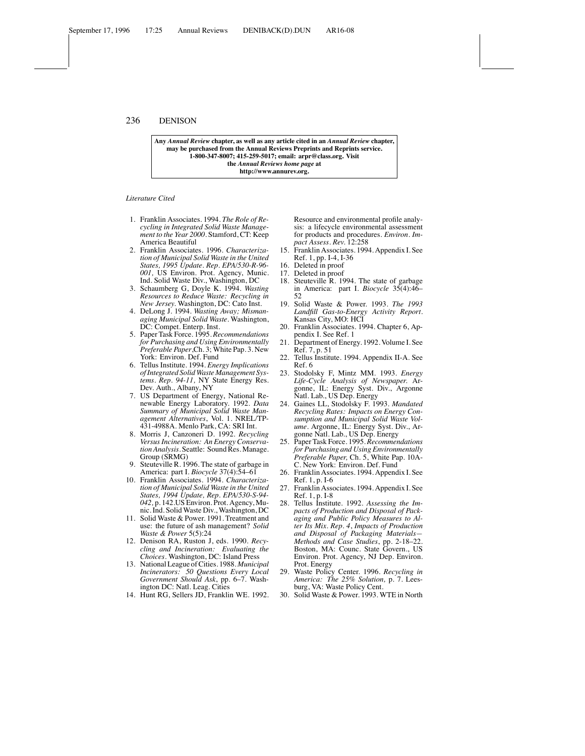**Any** *Annual Review* **chapter, as well as any article cited in an** *Annual Review* **chapter, may be purchased from the Annual Reviews Preprints and Reprints service. 1-800-347-8007; 415-259-5017; email: arpr@class.org. Visit the** *Annual Reviews home page* **at http://www.annurev.org.**

#### *Literature Cited*

- 1. Franklin Associates. 1994. *The Role of Recycling in Integrated Solid Waste Management to the Year 2000.* Stamford, CT: Keep America Beautiful
- 2. Franklin Associates. 1996. *Characterization of Municipal Solid Waste in the United States, 1995 Update. Rep. EPA/530-R-96- 001,* US Environ. Prot. Agency, Munic. Ind. Solid Waste Div., Washington, DC
- 3. Schaumberg G, Doyle K. 1994. *Wasting Resources to Reduce Waste: Recycling in New Jersey.* Washington, DC: Cato Inst.
- 4. DeLong J. 1994. *Wasting Away; Mismanaging Municipal Solid Waste.* Washington, DC: Compet. Enterp. Inst.
- 5. Paper Task Force. 1995. *Recommendations for Purchasing and Using Environmentally Preferable Paper*,Ch. 3; White Pap. 3. New York: Environ. Def. Fund
- 6. Tellus Institute. 1994. *Energy Implications of Integrated Solid Waste Management Systems*. *Rep. 94-11,* NY State Energy Res. Dev. Auth., Albany, NY
- 7. US Department of Energy, National Renewable Energy Laboratory. 1992. *Data Summary of Municipal Solid Waste Management Alternatives*, Vol. 1*.* NREL/TP-431-4988A. Menlo Park, CA: SRI Int.
- 8. Morris J, Canzoneri D. 1992. *Recycling Versus Incineration: An Energy Conservation Analysis*. Seattle: Sound Res. Manage. Group (SRMG)
- 9. Steuteville R. 1996. The state of garbage in America: part I. *Biocycle* 37(4):54–61
- 10. Franklin Associates. 1994. *Characterization of Municipal Solid Waste in the United States, 1994 Update, Rep. EPA/530-S-94- 042,* p. 142.US Environ. Prot. Agency, Munic. Ind. Solid Waste Div., Washington, DC
- 11. Solid Waste & Power. 1991. Treatment and use: the future of ash management? *Solid Waste & Power* 5(5):24
- 12. Denison RA, Ruston J, eds. 1990. *Recycling and Incineration: Evaluating the Choices.* Washington, DC: Island Press
- 13. National League of Cities. 1988. *Municipal Incinerators: 50 Questions Every Local Government Should Ask*, pp. 6–7. Washington DC: Natl. Leag. Cities
- 14. Hunt RG, Sellers JD, Franklin WE. 1992.

Resource and environmental profile analysis: a lifecycle environmental assessment for products and procedures. *Environ. Impact Assess. Rev.* 12:258

- 15. Franklin Associates. 1994. Appendix I. See Ref. 1, pp. I-4, I-36
- 16. Deleted in proof
- 17. Deleted in proof
- 18. Steuteville R. 1994. The state of garbage in America: part I. *Biocycle* 35(4):46– 52
- 19. Solid Waste & Power. 1993. *The 1993 Landfill Gas-to-Energy Activity Report.* Kansas City, MO: HCI
- 20. Franklin Associates. 1994. Chapter 6, Appendix I. See Ref. 1
- 21. Department of Energy. 1992. Volume I. See Ref. 7, p. 51
- 22. Tellus Institute. 1994. Appendix II-A. See Ref. 6
- 23. Stodolsky F, Mintz MM. 1993. *Energy Life-Cycle Analysis of Newspaper.* Argonne, IL: Energy Syst. Div., Argonne Natl. Lab., US Dep. Energy
- 24. Gaines LL, Stodolsky F. 1993. *Mandated Recycling Rates: Impacts on Energy Consumption and Municipal Solid Waste Volume*. Argonne, IL: Energy Syst. Div., Argonne Natl. Lab., US Dep. Energy
- 25. Paper Task Force. 1995. *Recommendations for Purchasing and Using Environmentally Preferable Paper,* Ch. 5, White Pap. 10A-C. New York: Environ. Def. Fund
- 26. Franklin Associates. 1994. Appendix I. See Ref. 1, p. I-6
- 27. Franklin Associates. 1994. Appendix I. See Ref. 1, p. I-8
- 28. Tellus Institute. 1992. *Assessing the Impacts of Production and Disposal of Packaging and Public Policy Measures to Alter Its Mix. Rep. 4*, *Impacts of Production and Disposal of Packaging Materials— Methods and Case Studies*, pp. 2-18–22. Boston, MA: Counc. State Govern., US Environ. Prot. Agency, NJ Dep. Environ. Prot. Energy
- 29. Waste Policy Center. 1996. *Recycling in America: The 25% Solution,* p. 7*.* Leesburg, VA: Waste Policy Cent.
- 30. Solid Waste & Power. 1993. WTE in North